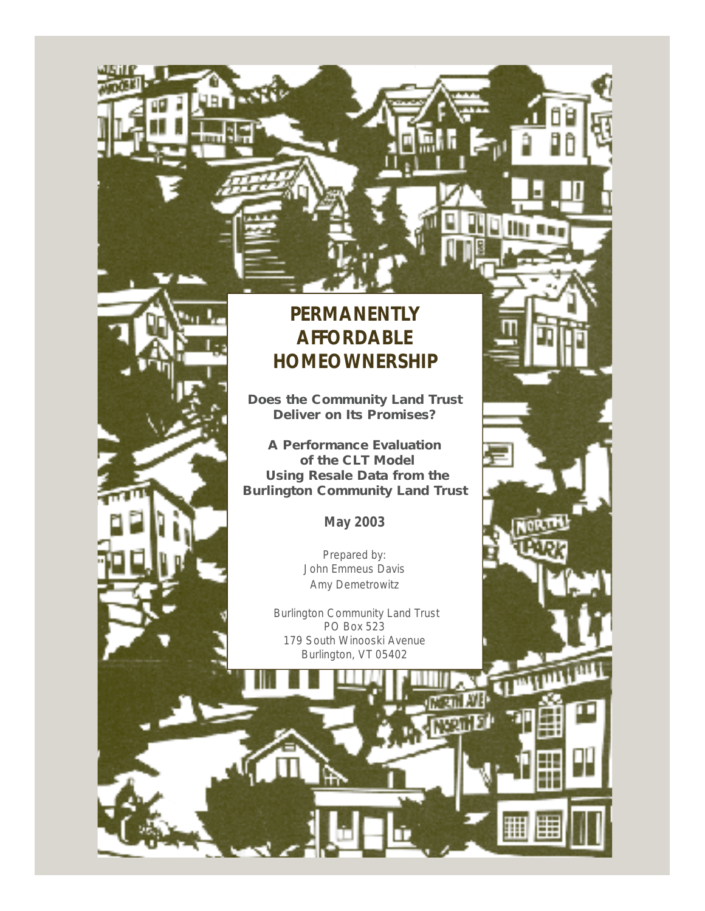

**Does the Community Land Trust Deliver on Its Promises?**

**A Performance Evaluation of the CLT Model Using Resale Data from the Burlington Community Land Trust**

**May 2003**

Prepared by: John Emmeus Davis Amy Demetrowitz

Burlington Community Land Trust PO Box 523 179 South Winooski Avenue Burlington, VT 05402

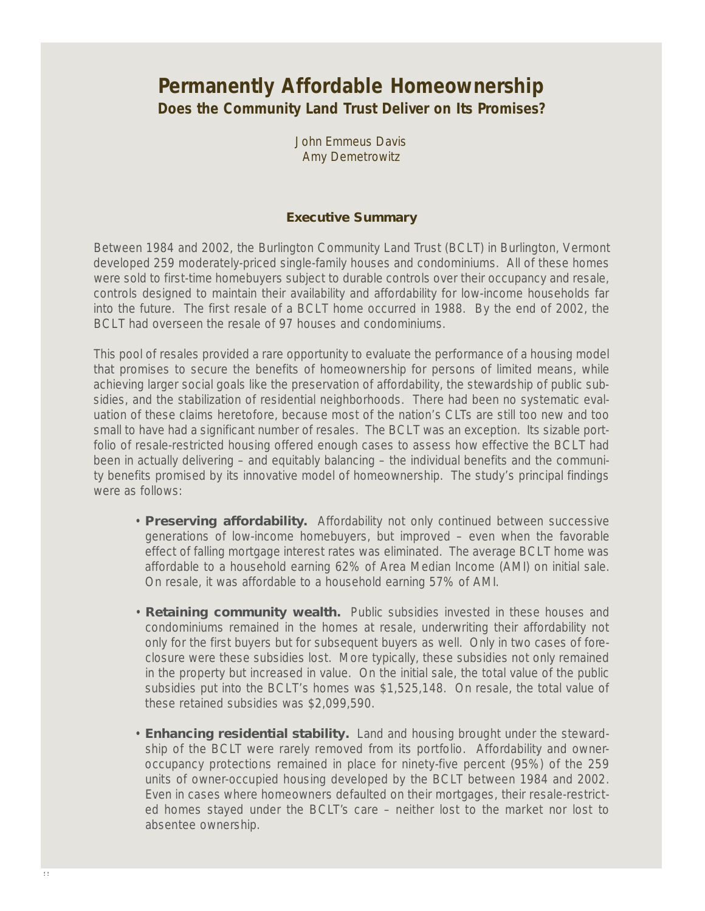## **Permanently Affordable Homeownership Does the Community Land Trust Deliver on Its Promises?**

John Emmeus Davis Amy Demetrowitz

#### **Executive Summary**

Between 1984 and 2002, the Burlington Community Land Trust (BCLT) in Burlington, Vermont developed 259 moderately-priced single-family houses and condominiums. All of these homes were sold to first-time homebuyers subject to durable controls over their occupancy and resale, controls designed to maintain their availability and affordability for low-income households far into the future. The first resale of a BCLT home occurred in 1988. By the end of 2002, the BCLT had overseen the resale of 97 houses and condominiums.

This pool of resales provided a rare opportunity to evaluate the performance of a housing model that promises to secure the benefits of homeownership for persons of limited means, while achieving larger social goals like the preservation of affordability, the stewardship of public subsidies, and the stabilization of residential neighborhoods. There had been no systematic evaluation of these claims heretofore, because most of the nation's CLTs are still too new and too small to have had a significant number of resales. The BCLT was an exception. Its sizable portfolio of resale-restricted housing offered enough cases to assess how effective the BCLT had been in actually delivering – and equitably balancing – the individual benefits and the community benefits promised by its innovative model of homeownership. The study's principal findings were as follows:

- **Preserving affordability.** Affordability not only continued between successive generations of low-income homebuyers, but improved – even when the favorable effect of falling mortgage interest rates was eliminated. The average BCLT home was affordable to a household earning 62% of Area Median Income (AMI) on initial sale. On resale, it was affordable to a household earning 57% of AMI.
- **Retaining community wealth.** Public subsidies invested in these houses and condominiums remained in the homes at resale, underwriting their affordability not only for the first buyers but for subsequent buyers as well. Only in two cases of foreclosure were these subsidies lost. More typically, these subsidies not only remained in the property but increased in value. On the initial sale, the total value of the public subsidies put into the BCLT's homes was \$1,525,148. On resale, the total value of these retained subsidies was \$2,099,590.
- **Enhancing residential stability.** Land and housing brought under the stewardship of the BCLT were rarely removed from its portfolio. Affordability and owneroccupancy protections remained in place for ninety-five percent (95%) of the 259 units of owner-occupied housing developed by the BCLT between 1984 and 2002. Even in cases where homeowners defaulted on their mortgages, their resale-restricted homes stayed under the BCLT 's care – neither lost to the market nor lost to absentee ownership.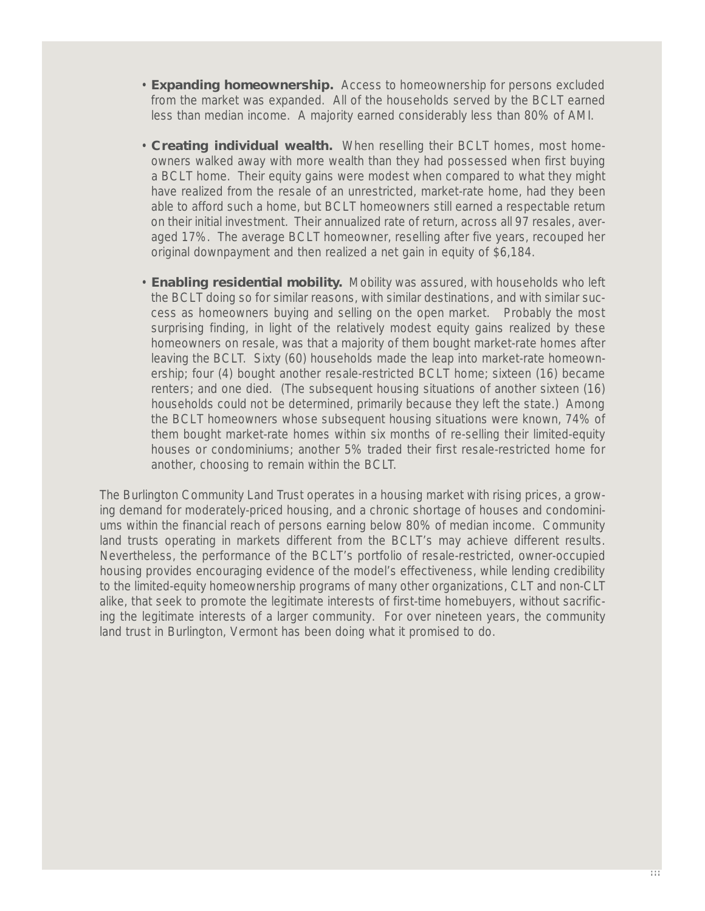- **Expanding homeownership.** Access to homeownership for persons excluded from the market was expanded. All of the households served by the BCLT earned less than median income. A majority earned considerably less than 80% of AMI.
- **Creating individual wealth.** When reselling their BCLT homes, most homeowners walked away with more wealth than they had possessed when first buying a BCLT home. Their equity gains were modest when compared to what they might have realized from the resale of an unrestricted, market-rate home, had they been able to afford such a home, but BCLT homeowners still earned a respectable return on their initial investment. Their annualized rate of return, across all 97 resales, averaged 17%. The average BCLT homeowner, reselling after five years, recouped her original downpayment and then realized a net gain in equity of \$6,184.
- **Enabling residential mobility.** Mobility was assured, with households who left the BCLT doing so for similar reasons, with similar destinations, and with similar success as homeowners buying and selling on the open market. Probably the most surprising finding, in light of the relatively modest equity gains realized by these homeowners on resale, was that a majority of them bought market-rate homes after leaving the BCLT. Sixty (60) households made the leap into market-rate homeownership; four (4) bought another resale-restricted BCLT home; sixteen (16) became renters; and one died. (The subsequent housing situations of another sixteen (16) households could not be determined, primarily because they left the state.) Among the BCLT homeowners whose subsequent housing situations were known, 74% of them bought market-rate homes within six months of re-selling their limited-equity houses or condominiums; another 5% traded their first resale-restricted home for another, choosing to remain within the BCLT.

The Burlington Community Land Trust operates in a housing market with rising prices, a growing demand for moderately-priced housing, and a chronic shortage of houses and condominiums within the financial reach of persons earning below 80% of median income. Community land trusts operating in markets different from the BCLT's may achieve different results. Nevertheless, the performance of the BCLT's portfolio of resale-restricted, owner-occupied housing provides encouraging evidence of the model's effectiveness, while lending credibility to the limited-equity homeownership programs of many other organizations, CLT and non-CLT alike, that seek to promote the legitimate interests of first-time homebuyers, without sacrificing the legitimate interests of a larger community. For over nineteen years, the community land trust in Burlington, Vermont has been doing what it promised to do.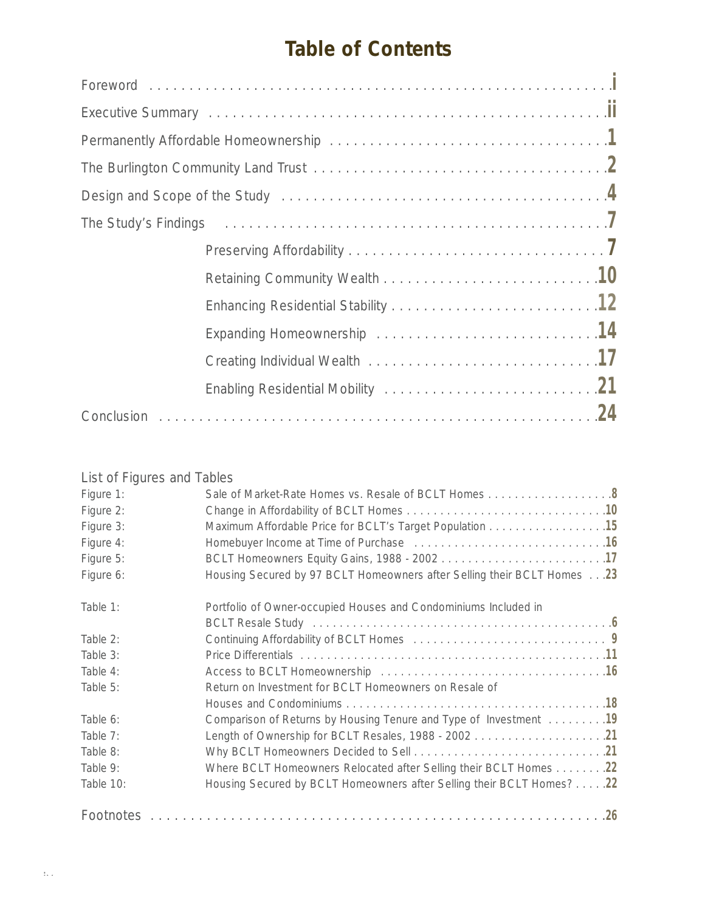# **Table of Contents**

### List of Figures and Tables

| Figure 1: | Sale of Market-Rate Homes vs. Resale of BCLT Homes 8                    |
|-----------|-------------------------------------------------------------------------|
| Figure 2: |                                                                         |
| Figure 3: | Maximum Affordable Price for BCLT's Target Population 15                |
| Figure 4: |                                                                         |
| Figure 5: |                                                                         |
| Figure 6: | Housing Secured by 97 BCLT Homeowners after Selling their BCLT Homes 23 |
| Table 1:  | Portfolio of Owner-occupied Houses and Condominiums Included in         |
|           |                                                                         |
| Table 2:  |                                                                         |
| Table 3:  |                                                                         |
| Table 4:  |                                                                         |
| Table 5:  | Return on Investment for BCLT Homeowners on Resale of                   |
|           |                                                                         |
| Table 6:  | Comparison of Returns by Housing Tenure and Type of Investment 19       |
| Table 7:  |                                                                         |
| Table 8:  |                                                                         |
| Table 9:  | Where BCLT Homeowners Relocated after Selling their BCLT Homes 22       |
| Table 10: | Housing Secured by BCLT Homeowners after Selling their BCLT Homes? 22   |
|           |                                                                         |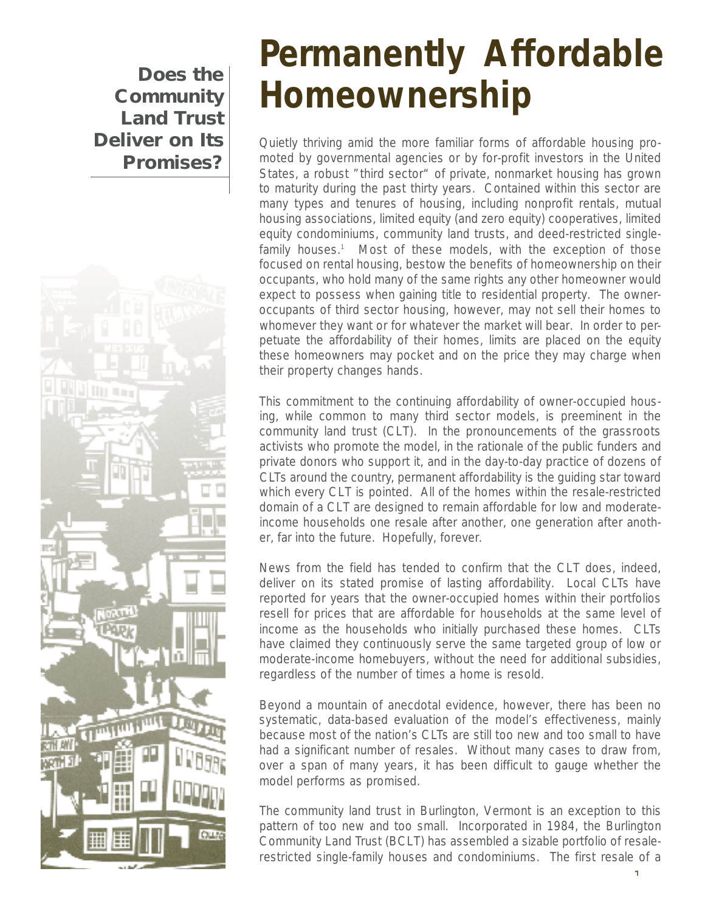**Community Land Trust Deliver on Its Promises?**



# **Permanently Affordable Does the Homeownership**

Quietly thriving amid the more familiar forms of affordable housing promoted by governmental agencies or by for-profit investors in the United States, a robust "third sector" of private, nonmarket housing has grown to maturity during the past thirty years. Contained within this sector are many types and tenures of housing, including nonprofit rentals, mutual housing associations, limited equity (and zero equity) cooperatives, limited equity condominiums, community land trusts, and deed-restricted singlefamily houses.<sup>1</sup> Most of these models, with the exception of those focused on rental housing, bestow the benefits of homeownership on their occupants, who hold many of the same rights any other homeowner would expect to possess when gaining title to residential property. The owneroccupants of third sector housing, however, may not sell their homes to whomever they want or for whatever the market will bear. In order to perpetuate the affordability of their homes, limits are placed on the equity these homeowners may pocket and on the price they may charge when their property changes hands.

This commitment to the continuing affordability of owner-occupied housing, while common to many third sector models, is preeminent in the community land trust (CLT). In the pronouncements of the grassroots activists who promote the model, in the rationale of the public funders and private donors who support it, and in the day-to-day practice of dozens of CLTs around the country, permanent affordability is the guiding star toward which every CLT is pointed. All of the homes within the resale-restricted domain of a CLT are designed to remain affordable for low and moderateincome households one resale after another, one generation after another, far into the future. Hopefully, forever.

News from the field has tended to confirm that the CLT does, indeed, deliver on its stated promise of lasting affordability. Local CLTs have reported for years that the owner-occupied homes within their portfolios resell for prices that are affordable for households at the same level of income as the households who initially purchased these homes. CLTs have claimed they continuously serve the same targeted group of low or moderate-income homebuyers, without the need for additional subsidies, regardless of the number of times a home is resold.

Beyond a mountain of anecdotal evidence, however, there has been no systematic, data-based evaluation of the model's effectiveness, mainly because most of the nation's CLTs are still too new and too small to have had a significant number of resales. Without many cases to draw from, over a span of many years, it has been difficult to gauge whether the model performs as promised.

The community land trust in Burlington, Vermont is an exception to this pattern of too new and too small. Incorporated in 1984, the Burlington Community Land Trust (BCLT) has assembled a sizable portfolio of resalerestricted single-family houses and condominiums. The first resale of a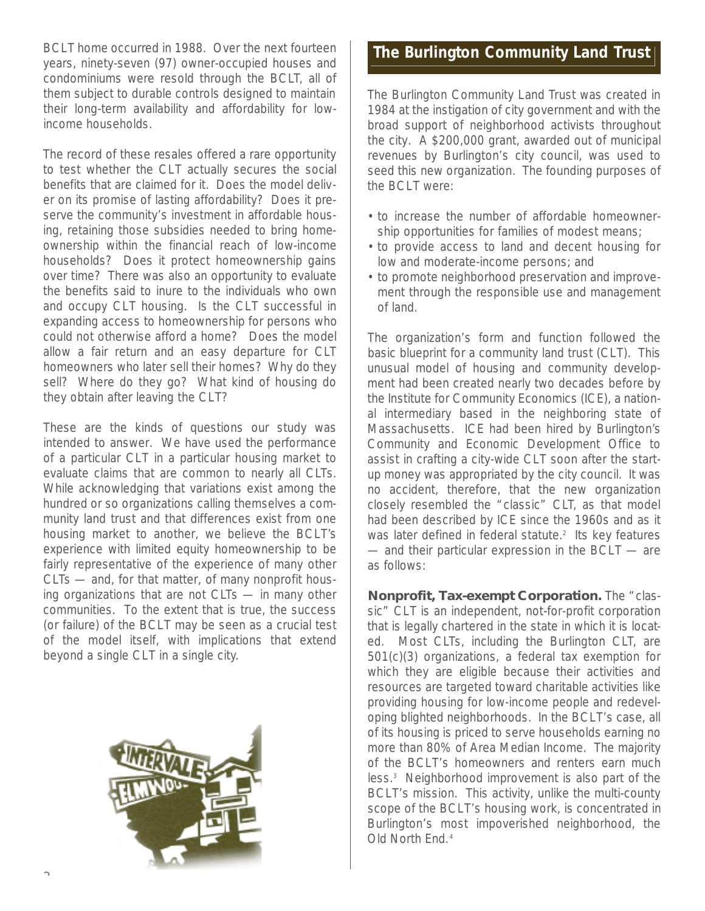BCLT home occurred in 1988. Over the next fourteen years, ninety-seven (97) owner-occupied houses and condominiums were resold through the BCLT, all of them subject to durable controls designed to maintain their long-term availability and affordability for lowincome households.

The record of these resales offered a rare opportunity to test whether the CLT actually secures the social benefits that are claimed for it. Does the model deliver on its promise of lasting affordability? Does it preserve the community's investment in affordable housing, retaining those subsidies needed to bring homeownership within the financial reach of low-income households? Does it protect homeownership gains over time? There was also an opportunity to evaluate the benefits said to inure to the individuals who own and occupy CLT housing. Is the CLT successful in expanding access to homeownership for persons who could not otherwise afford a home? Does the model allow a fair return and an easy departure for CLT homeowners who later sell their homes? Why do they sell? Where do they go? What kind of housing do they obtain after leaving the CLT?

These are the kinds of questions our study was intended to answer. We have used the performance of a particular CLT in a particular housing market to evaluate claims that are common to nearly all CLTs. While acknowledging that variations exist among the hundred or so organizations calling themselves a community land trust and that differences exist from one housing market to another, we believe the BCLT's experience with limited equity homeownership to be fairly representative of the experience of many other CLTs — and, for that matter, of many nonprofit housing organizations that are not CLTs — in many other communities. To the extent that is true, the success (or failure) of the BCLT may be seen as a crucial test of the model itself, with implications that extend beyond a single CLT in a single city.



#### **The Burlington Community Land Trust**

The Burlington Community Land Trust was created in 1984 at the instigation of city government and with the broad support of neighborhood activists throughout the city. A \$200,000 grant, awarded out of municipal revenues by Burlington's city council, was used to seed this new organization. The founding purposes of the BCLT were:

- to increase the number of affordable homeownership opportunities for families of modest means;
- to provide access to land and decent housing for low and moderate-income persons; and
- to promote neighborhood preservation and improvement through the responsible use and management of land.

The organization's form and function followed the basic blueprint for a community land trust (CLT). This unusual model of housing and community development had been created nearly two decades before by the Institute for Community Economics (ICE), a national intermediary based in the neighboring state of Massachusetts. ICE had been hired by Burlington's Community and Economic Development Office to assist in crafting a city-wide CLT soon after the startup money was appropriated by the city council. It was no accident, therefore, that the new organization closely resembled the "classic" CLT, as that model had been described by ICE since the 1960s and as it was later defined in federal statute.<sup>2</sup> Its key features — and their particular expression in the BCLT — are as follows:

**Nonprofit, Tax-exempt Corporation.** The "classic" CLT is an independent, not-for-profit corporation that is legally chartered in the state in which it is located. Most CLTs, including the Burlington CLT, are 501(c)(3) organizations, a federal tax exemption for which they are eligible because their activities and resources are targeted toward charitable activities like providing housing for low-income people and redeveloping blighted neighborhoods. In the BCLT's case, all of its housing is priced to serve households earning no more than 80% of Area Median Income. The majority of the BCLT's homeowners and renters earn much less.<sup>3</sup> Neighborhood improvement is also part of the BCLT's mission. This activity, unlike the multi-county scope of the BCLT's housing work, is concentrated in Burlington's most impoverished neighborhood, the Old North End.<sup>4</sup>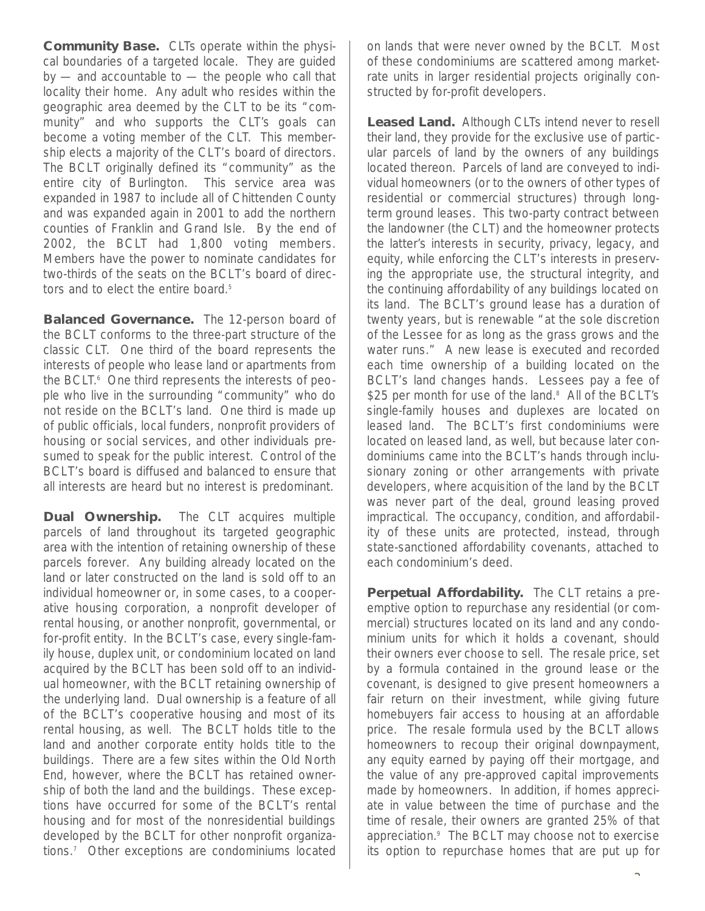**Community Base.** CLTs operate within the physical boundaries of a targeted locale. They are guided  $by$  — and accountable to — the people who call that locality their home. Any adult who resides within the geographic area deemed by the CLT to be its "community" and who supports the CLT's goals can become a voting member of the CLT. This membership elects a majority of the CLT's board of directors. The BCLT originally defined its "community" as the entire city of Burlington. This service area was expanded in 1987 to include all of Chittenden County and was expanded again in 2001 to add the northern counties of Franklin and Grand Isle. By the end of 2002, the BCLT had 1,800 voting members. Members have the power to nominate candidates for two-thirds of the seats on the BCLT's board of directors and to elect the entire board.<sup>5</sup>

**Balanced Governance.** The 12-person board of the BCLT conforms to the three-part structure of the classic CLT. One third of the board represents the interests of people who lease land or apartments from the BCLT.<sup>6</sup> One third represents the interests of people who live in the surrounding "community" who do not reside on the BCLT's land. One third is made up of public officials, local funders, nonprofit providers of housing or social services, and other individuals presumed to speak for the public interest. Control of the BCLT's board is diffused and balanced to ensure that all interests are heard but no interest is predominant.

**Dual Ownership.** The CLT acquires multiple parcels of land throughout its targeted geographic area with the intention of retaining ownership of these parcels forever. Any building already located on the land or later constructed on the land is sold off to an individual homeowner or, in some cases, to a cooperative housing corporation, a nonprofit developer of rental housing, or another nonprofit, governmental, or for-profit entity. In the BCLT's case, every single-family house, duplex unit, or condominium located on land acquired by the BCLT has been sold off to an individual homeowner, with the BCLT retaining ownership of the underlying land. Dual ownership is a feature of all of the BCLT's cooperative housing and most of its rental housing, as well. The BCLT holds title to the land and another corporate entity holds title to the buildings. There are a few sites within the Old North End, however, where the BCLT has retained ownership of both the land and the buildings. These exceptions have occurred for some of the BCLT's rental housing and for most of the nonresidential buildings developed by the BCLT for other nonprofit organizations.<sup>7</sup> Other exceptions are condominiums located on lands that were never owned by the BCLT. Most of these condominiums are scattered among marketrate units in larger residential projects originally constructed by for-profit developers.

Leased Land. Although CLTs intend never to resell their land, they provide for the exclusive use of particular parcels of land by the owners of any buildings located thereon. Parcels of land are conveyed to individual homeowners (or to the owners of other types of residential or commercial structures) through longterm ground leases. This two-party contract between the landowner (the CLT) and the homeowner protects the latter's interests in security, privacy, legacy, and equity, while enforcing the CLT's interests in preserving the appropriate use, the structural integrity, and the continuing affordability of any buildings located on its land. The BCLT's ground lease has a duration of twenty years, but is renewable "at the sole discretion of the Lessee for as long as the grass grows and the water runs." A new lease is executed and recorded each time ownership of a building located on the BCLT's land changes hands. Lessees pay a fee of \$25 per month for use of the land.<sup>8</sup> All of the BCLT's single-family houses and duplexes are located on leased land. The BCLT's first condominiums were located on leased land, as well, but because later condominiums came into the BCLT's hands through inclusionary zoning or other arrangements with private developers, where acquisition of the land by the BCLT was never part of the deal, ground leasing proved impractical. The occupancy, condition, and affordability of these units are protected, instead, through state-sanctioned affordability covenants, attached to each condominium's deed.

**Perpetual Affordability.** The CLT retains a preemptive option to repurchase any residential (or commercial) structures located on its land and any condominium units for which it holds a covenant, should their owners ever choose to sell. The resale price, set by a formula contained in the ground lease or the covenant, is designed to give present homeowners a fair return on their investment, while giving future homebuyers fair access to housing at an affordable price. The resale formula used by the BCLT allows homeowners to recoup their original downpayment, any equity earned by paying off their mortgage, and the value of any pre-approved capital improvements made by homeowners. In addition, if homes appreciate in value between the time of purchase and the time of resale, their owners are granted 25% of that appreciation.<sup>9</sup> The BCLT may choose not to exercise its option to repurchase homes that are put up for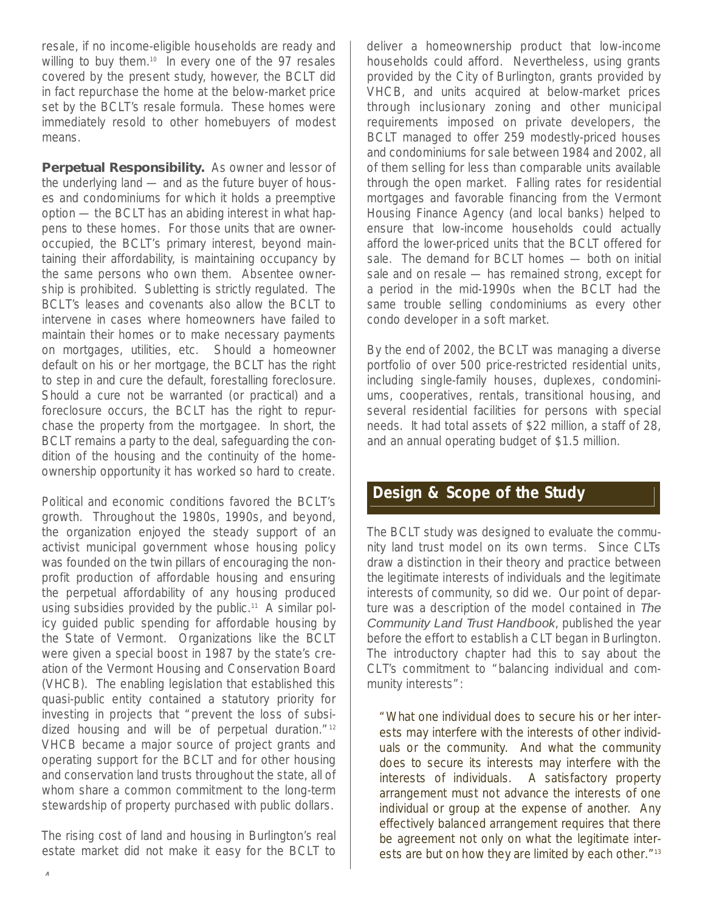resale, if no income-eligible households are ready and willing to buy them.<sup>10</sup> In every one of the 97 resales covered by the present study, however, the BCLT did in fact repurchase the home at the below-market price set by the BCLT's resale formula. These homes were immediately resold to other homebuyers of modest means.

**Perpetual Responsibility.** As owner and lessor of the underlying land — and as the future buyer of houses and condominiums for which it holds a preemptive option — the BCLT has an abiding interest in what happens to these homes. For those units that are owneroccupied, the BCLT 's primary interest, beyond maintaining their affordability, is maintaining occupancy by the same persons who own them. Absentee ownership is prohibited. Subletting is strictly regulated. The BCLT's leases and covenants also allow the BCLT to intervene in cases where homeowners have failed to maintain their homes or to make necessary payments on mortgages, utilities, etc. Should a homeowner default on his or her mortgage, the BCLT has the right to step in and cure the default, forestalling foreclosure. Should a cure not be warranted (or practical) and a foreclosure occurs, the BCLT has the right to repurchase the property from the mortgagee. In short, the BCLT remains a party to the deal, safeguarding the condition of the housing and the continuity of the homeownership opportunity it has worked so hard to create.

Political and economic conditions favored the BCLT 's growth. Throughout the 1980s, 1990s, and beyond, the organization enjoyed the steady support of an activist municipal government whose housing policy was founded on the twin pillars of encouraging the nonprofit production of affordable housing and ensuring the perpetual affordability of any housing produced using subsidies provided by the public.<sup>11</sup> A similar policy guided public spending for affordable housing by the State of Vermont. Organizations like the BCLT were given a special boost in 1987 by the state's creation of the Vermont Housing and Conservation Board (VHCB). The enabling legislation that established this quasi-public entity contained a statutory priority for investing in projects that "prevent the loss of subsidized housing and will be of perpetual duration. $1/12$ VHCB became a major source of project grants and operating support for the BCLT and for other housing and conservation land trusts throughout the state, all of whom share a common commitment to the long-term stewardship of property purchased with public dollars.

The rising cost of land and housing in Burlington's real estate market did not make it easy for the BCLT to deliver a homeownership product that low-income households could afford. Nevertheless, using grants provided by the City of Burlington, grants provided by VHCB, and units acquired at below-market prices through inclusionary zoning and other municipal requirements imposed on private developers, the BCLT managed to offer 259 modestly-priced houses and condominiums for sale between 1984 and 2002, all of them selling for less than comparable units available through the open market. Falling rates for residential mortgages and favorable financing from the Vermont Housing Finance Agency (and local banks) helped to ensure that low-income households could actually afford the lower-priced units that the BCLT offered for sale. The demand for BCLT homes — both on initial sale and on resale — has remained strong, except for a period in the mid-1990s when the BCLT had the same trouble selling condominiums as every other condo developer in a soft market.

By the end of 2002, the BCLT was managing a diverse portfolio of over 500 price-restricted residential units, including single-family houses, duplexes, condominiums, cooperatives, rentals, transitional housing, and several residential facilities for persons with special needs. It had total assets of \$22 million, a staff of 28, and an annual operating budget of \$1.5 million.

#### **Design & Scope of the Study**

The BCLT study was designed to evaluate the community land trust model on its own terms. Since CLTs draw a distinction in their theory and practice between the legitimate interests of individuals and the legitimate interests of community, so did we. Our point of departure was a description of the model contained in The Community Land Trust Handbook, published the year before the effort to establish a CLT began in Burlington. The introductory chapter had this to say about the CLT's commitment to "balancing individual and community interests":

"What one individual does to secure his or her interests may interfere with the interests of other individuals or the community. And what the community does to secure its interests may interfere with the interests of individuals. A satisfactory property arrangement must not advance the interests of one individual or group at the expense of another. Any effectively balanced arrangement requires that there be agreement not only on what the legitimate interests are but on how they are limited by each other."<sup>13</sup>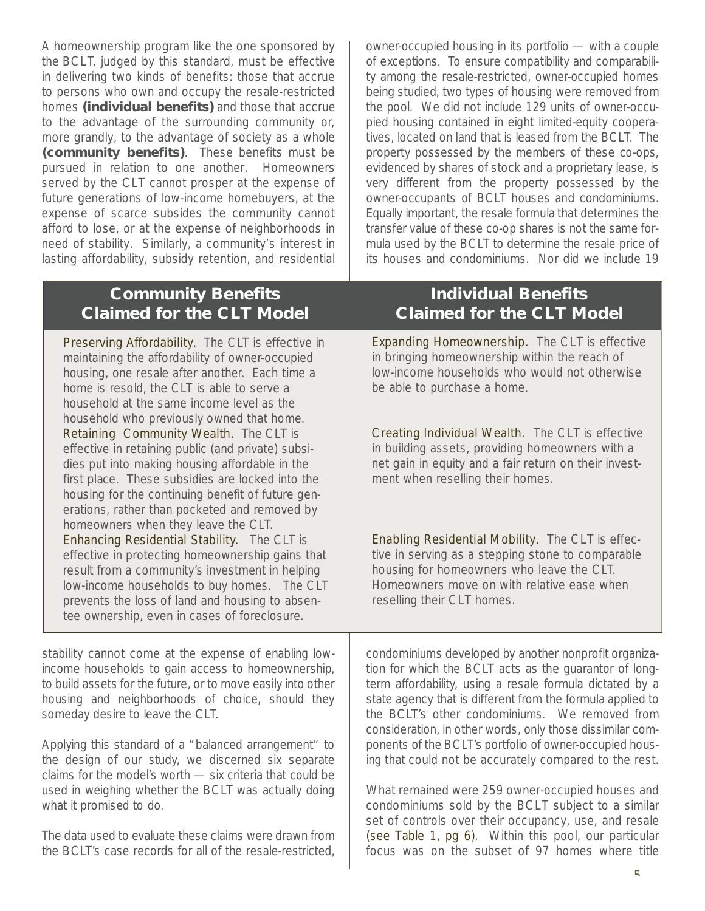A homeownership program like the one sponsored by the BCLT, judged by this standard, must be effective in delivering two kinds of benefits: those that accrue to persons who own and occupy the resale-restricted homes **(individual benefits)** and those that accrue to the advantage of the surrounding community or, more grandly, to the advantage of society as a whole **(community benefits)**. These benefits must be pursued in relation to one another. Homeowners served by the CLT cannot prosper at the expense of future generations of low-income homebuyers, at the expense of scarce subsides the community cannot afford to lose, or at the expense of neighborhoods in need of stability. Similarly, a community's interest in lasting affordability, subsidy retention, and residential

> **Community Benefits Individual Benefits Claimed for the CLT Model Claimed for the CLT Model**

Preserving Affordability. The CLT is effective in maintaining the affordability of owner-occupied housing, one resale after another. Each time a home is resold, the CLT is able to serve a household at the same income level as the household who previously owned that home. Retaining Community Wealth. The CLT is effective in retaining public (and private) subsidies put into making housing affordable in the first place. These subsidies are locked into the housing for the continuing benefit of future generations, rather than pocketed and removed by homeowners when they leave the CLT. Enhancing Residential Stability. The CLT is effective in protecting homeownership gains that result from a community's investment in helping low-income households to buy homes. The CLT prevents the loss of land and housing to absentee ownership, even in cases of foreclosure.

stability cannot come at the expense of enabling lowincome households to gain access to homeownership, to build assets for the future, or to move easily into other housing and neighborhoods of choice, should they someday desire to leave the CLT.

Applying this standard of a "balanced arrangement" to the design of our study, we discerned six separate claims for the model's worth — six criteria that could be used in weighing whether the BCLT was actually doing what it promised to do.

The data used to evaluate these claims were drawn from the BCLT's case records for all of the resale-restricted, owner-occupied housing in its portfolio  $-$  with a couple of exceptions. To ensure compatibility and comparability among the resale-restricted, owner-occupied homes being studied, two types of housing were removed from the pool. We did not include 129 units of owner-occupied housing contained in eight limited-equity cooperatives, located on land that is leased from the BCLT. The property possessed by the members of these co-ops, evidenced by shares of stock and a proprietary lease, is very different from the property possessed by the owner-occupants of BCLT houses and condominiums. Equally important, the resale formula that determines the transfer value of these co-op shares is not the same formula used by the BCLT to determine the resale price of its houses and condominiums. Nor did we include 19

Expanding Homeownership. The CLT is effective in bringing homeownership within the reach of low-income households who would not otherwise be able to purchase a home.

Creating Individual Wealth. The CLT is effective in building assets, providing homeowners with a net gain in equity and a fair return on their investment when reselling their homes.

Enabling Residential Mobility. The CLT is effective in serving as a stepping stone to comparable housing for homeowners who leave the CLT. Homeowners move on with relative ease when reselling their CLT homes.

condominiums developed by another nonprofit organization for which the BCLT acts as the guarantor of longterm affordability, using a resale formula dictated by a state agency that is different from the formula applied to the BCLT's other condominiums. We removed from consideration, in other words, only those dissimilar components of the BCLT 's portfolio of owner-occupied housing that could not be accurately compared to the rest.

What remained were 259 owner-occupied houses and condominiums sold by the BCLT subject to a similar set of controls over their occupancy, use, and resale (see Table 1, pg 6). Within this pool, our particular focus was on the subset of 97 homes where title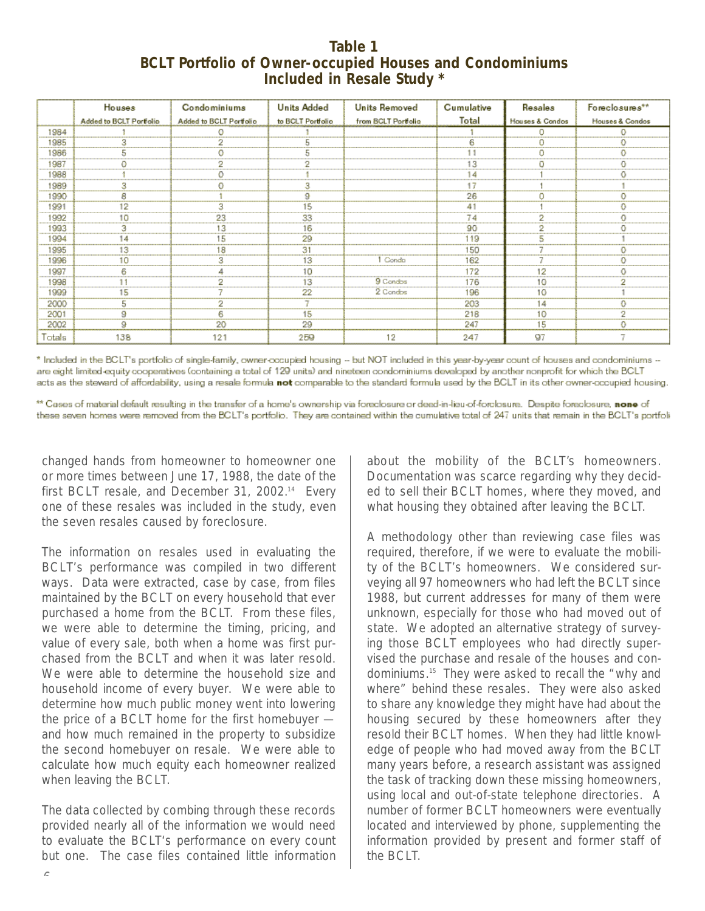#### **Table 1 BCLT Portfolio of Owner-occupied Houses and Condominiums Included in Resale Study \***

|        | Houses                  | Condominiums            | <b>Units Added</b> | <b>Units Removed</b> | Cumulative | Resales         | Foreclosures**             |
|--------|-------------------------|-------------------------|--------------------|----------------------|------------|-----------------|----------------------------|
|        | Added to BCLT Portfolio | Added to BCLT Portfolio | to BCLT Portfolio  | from BCLT Portfolio  | Total      | Hauses & Condos | <b>Houses &amp; Condos</b> |
| 1984   |                         |                         |                    |                      |            |                 |                            |
| 1985   |                         |                         |                    |                      |            |                 |                            |
| 1986   |                         |                         |                    |                      |            |                 |                            |
| 1987   |                         |                         |                    |                      | 13         |                 |                            |
| 1988   |                         |                         |                    |                      | 14         |                 |                            |
| 1989   | З                       |                         | 3                  |                      | 17         |                 |                            |
| 1990   | 8                       |                         | g.                 |                      | 26         | 0               | o                          |
| 1991   | 12                      |                         | 15                 |                      | 41         |                 |                            |
| 1992   | 10                      | 23                      | 33                 |                      | 74         | o               |                            |
| 1993   | з                       | 13                      | 16                 |                      | 90         |                 |                            |
| 1994   | 14                      | ١Ε                      | 29                 |                      | 119        |                 |                            |
| 1995   | 13                      | 8                       | 31                 |                      | 150        |                 |                            |
| 1996   | 10                      |                         | 13                 | Condo                | 162        |                 |                            |
| 1997   |                         |                         | 10                 |                      | 172        | 12              |                            |
| 1998   |                         |                         | 13                 | 9 Condos             | 176        | 10              |                            |
| 1999   | 15                      |                         | 22                 | 2 Condos             | 196        | 10              |                            |
| 2000   | 5                       |                         |                    |                      | 203        | 14              |                            |
| 2001   | 9                       |                         | 15                 |                      | 218        | 10              | 2                          |
| 2002   | 9.                      | 20                      | 29                 |                      | 247        | 15              | n                          |
| Totals | 138                     | 121                     | 259                | 12                   | 247        | 97              |                            |

\* Included in the BCLT's portfolio of single-family, owner-occupied housing -- but NOT included in this year-by-year count of houses and condominiums -are eight limited equity cooperatives (containing a total of 129 units) and nineteen condominiums developed by another nonprofit for which the BCLT acts as the steward of affordability, using a resale formula not comparable to the standard formula used by the BCLT in its other owner-occupied housing.

\*\* Cases of material default resulting in the transfer of a home's ownership via foreclosure or deed-in-lieu-of-forclosure. Despite foreclosure, none of these seven homes were removed from the BCLT's portfolio. They are contained within the cumulative total of 247 units that remain in the BCLT's portfoli

changed hands from homeowner to homeowner one or more times between June 17, 1988, the date of the first BCLT resale, and December 31, 2002.<sup>14</sup> Every one of these resales was included in the study, even the seven resales caused by foreclosure.

The information on resales used in evaluating the BCLT's performance was compiled in two different ways. Data were extracted, case by case, from files maintained by the BCLT on every household that ever purchased a home from the BCLT. From these files, we were able to determine the timing, pricing, and value of every sale, both when a home was first purchased from the BCLT and when it was later resold. We were able to determine the household size and household income of every buyer. We were able to determine how much public money went into lowering the price of a BCLT home for the first homebuyer and how much remained in the property to subsidize the second homebuyer on resale. We were able to calculate how much equity each homeowner realized when leaving the BCLT.

The data collected by combing through these records provided nearly all of the information we would need to evaluate the BCLT's performance on every count but one. The case files contained little information about the mobility of the BCLT's homeowners. Documentation was scarce regarding why they decided to sell their BCLT homes, where they moved, and what housing they obtained after leaving the BCLT.

A methodology other than reviewing case files was required, therefore, if we were to evaluate the mobility of the BCLT's homeowners. We considered surveying all 97 homeowners who had left the BCLT since 1988, but current addresses for many of them were unknown, especially for those who had moved out of state. We adopted an alternative strategy of surveying those BCLT employees who had directly supervised the purchase and resale of the houses and condominiums.<sup>15</sup> They were asked to recall the "why and where" behind these resales. They were also asked to share any knowledge they might have had about the housing secured by these homeowners after they resold their BCLT homes. When they had little knowledge of people who had moved away from the BCLT many years before, a research assistant was assigned the task of tracking down these missing homeowners, using local and out-of-state telephone directories. A number of former BCLT homeowners were eventually located and interviewed by phone, supplementing the information provided by present and former staff of the BCLT.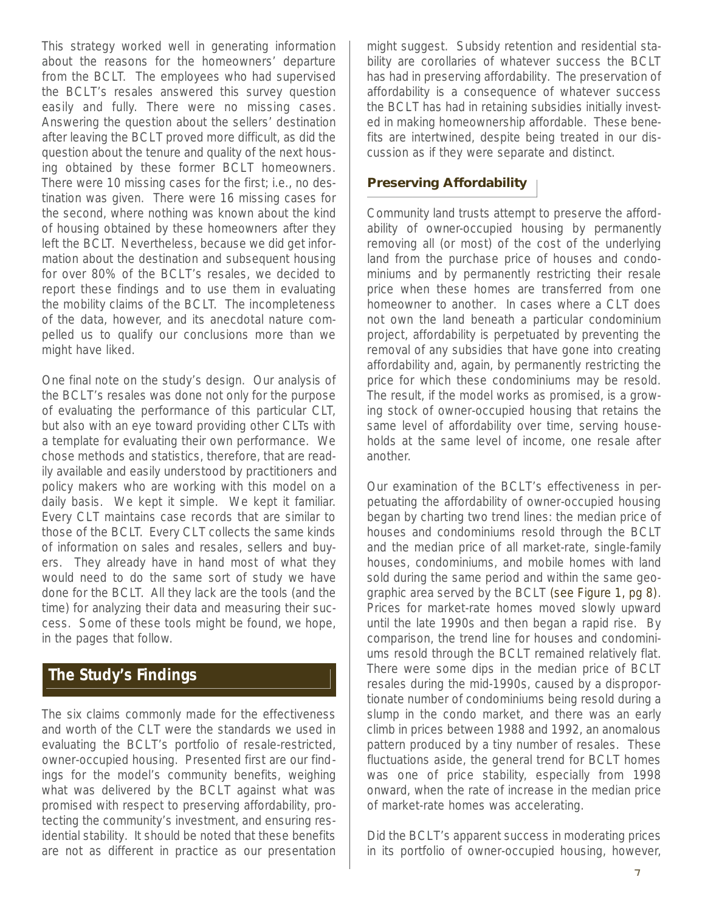This strategy worked well in generating information about the reasons for the homeowners' departure from the BCLT. The employees who had supervised the BCLT's resales answered this survey question easily and fully. There were no missing cases. Answering the question about the sellers' destination after leaving the BCLT proved more difficult, as did the question about the tenure and quality of the next housing obtained by these former BCLT homeowners. There were 10 missing cases for the first; i.e., no destination was given. There were 16 missing cases for the second, where nothing was known about the kind of housing obtained by these homeowners after they left the BCLT. Nevertheless, because we did get information about the destination and subsequent housing for over 80% of the BCLT's resales, we decided to report these findings and to use them in evaluating the mobility claims of the BCLT. The incompleteness of the data, however, and its anecdotal nature compelled us to qualify our conclusions more than we might have liked.

One final note on the study's design. Our analysis of the BCLT's resales was done not only for the purpose of evaluating the performance of this particular CLT, but also with an eye toward providing other CLTs with a template for evaluating their own performance. We chose methods and statistics, therefore, that are readily available and easily understood by practitioners and policy makers who are working with this model on a daily basis. We kept it simple. We kept it familiar. Every CLT maintains case records that are similar to those of the BCLT. Every CLT collects the same kinds of information on sales and resales, sellers and buyers. They already have in hand most of what they would need to do the same sort of study we have done for the BCLT. All they lack are the tools (and the time) for analyzing their data and measuring their success. Some of these tools might be found, we hope, in the pages that follow.

#### **The Study's Findings**

The six claims commonly made for the effectiveness and worth of the CLT were the standards we used in evaluating the BCLT's portfolio of resale-restricted, owner-occupied housing. Presented first are our findings for the model's community benefits, weighing what was delivered by the BCLT against what was promised with respect to preserving affordability, protecting the community's investment, and ensuring residential stability. It should be noted that these benefits are not as different in practice as our presentation might suggest. Subsidy retention and residential stability are corollaries of whatever success the BCLT has had in preserving affordability. The preservation of affordability is a consequence of whatever success the BCLT has had in retaining subsidies initially invested in making homeownership affordable. These benefits are intertwined, despite being treated in our discussion as if they were separate and distinct.

#### **Preserving Affordability**

Community land trusts attempt to preserve the affordability of owner-occupied housing by permanently removing all (or most) of the cost of the underlying land from the purchase price of houses and condominiums and by permanently restricting their resale price when these homes are transferred from one homeowner to another. In cases where a CLT does not own the land beneath a particular condominium project, affordability is perpetuated by preventing the removal of any subsidies that have gone into creating affordability and, again, by permanently restricting the price for which these condominiums may be resold. The result, if the model works as promised, is a growing stock of owner-occupied housing that retains the same level of affordability over time, serving households at the same level of income, one resale after another.

Our examination of the BCLT's effectiveness in perpetuating the affordability of owner-occupied housing began by charting two trend lines: the median price of houses and condominiums resold through the BCLT and the median price of all market-rate, single-family houses, condominiums, and mobile homes with land sold during the same period and within the same geographic area served by the BCLT (see Figure 1, pg 8). Prices for market-rate homes moved slowly upward until the late 1990s and then began a rapid rise. By comparison, the trend line for houses and condominiums resold through the BCLT remained relatively flat. There were some dips in the median price of BCLT resales during the mid-1990s, caused by a disproportionate number of condominiums being resold during a slump in the condo market, and there was an early climb in prices between 1988 and 1992, an anomalous pattern produced by a tiny number of resales. These fluctuations aside, the general trend for BCLT homes was one of price stability, especially from 1998 onward, when the rate of increase in the median price of market-rate homes was accelerating.

Did the BCLT's apparent success in moderating prices in its portfolio of owner-occupied housing, however,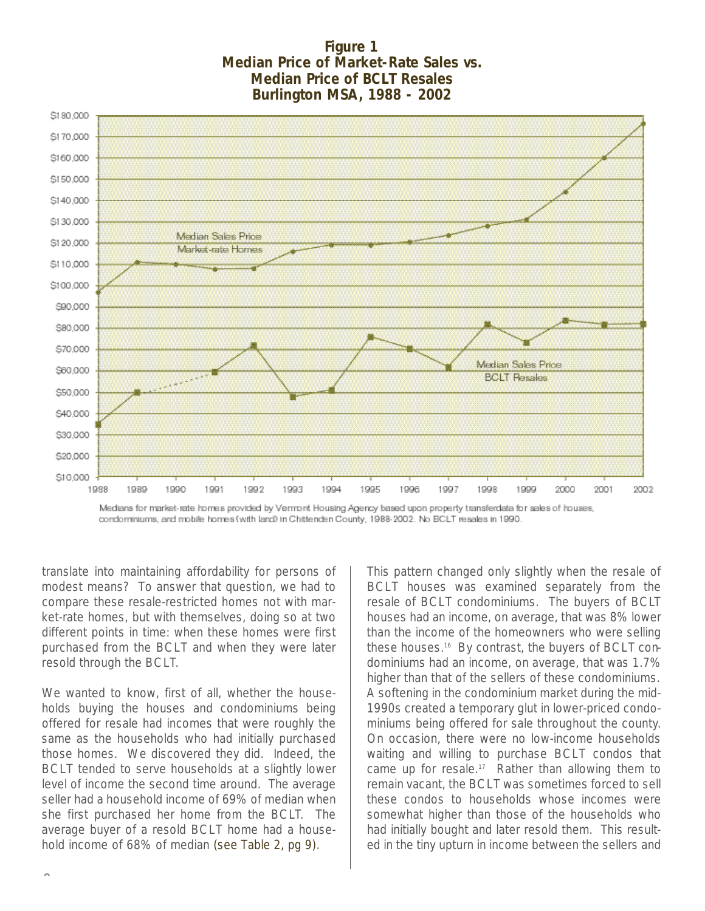#### **Figure 1 Median Price of Market-Rate Sales vs. Median Price of BCLT Resales Burlington MSA, 1988 - 2002**



Medians for market-rate homes provided by Vermont Housing Agency based upon property transferdata for sales of houses, condominiums, and mobile homes (with land) in Chittenden County, 1988-2002. No BCLT resales in 1990.

translate into maintaining affordability for persons of modest means? To answer that question, we had to compare these resale-restricted homes not with market-rate homes, but with themselves, doing so at two different points in time: when these homes were first purchased from the BCLT and when they were later resold through the BCLT.

We wanted to know, first of all, whether the households buying the houses and condominiums being offered for resale had incomes that were roughly the same as the households who had initially purchased those homes. We discovered they did. Indeed, the BCLT tended to serve households at a slightly lower level of income the second time around. The average seller had a household income of 69% of median when she first purchased her home from the BCLT. The average buyer of a resold BCLT home had a household income of 68% of median (see Table 2, pg 9).

This pattern changed only slightly when the resale of BCLT houses was examined separately from the resale of BCLT condominiums. The buyers of BCLT houses had an income, on average, that was 8% lower than the income of the homeowners who were selling these houses.<sup>16</sup> By contrast, the buyers of BCLT condominiums had an income, on average, that was 1.7% higher than that of the sellers of these condominiums. A softening in the condominium market during the mid-1990s created a temporary glut in lower-priced condominiums being offered for sale throughout the county. On occasion, there were no low-income households waiting and willing to purchase BCLT condos that came up for resale.<sup>17</sup> Rather than allowing them to remain vacant, the BCLT was sometimes forced to sell these condos to households whose incomes were somewhat higher than those of the households who had initially bought and later resold them. This resulted in the tiny upturn in income between the sellers and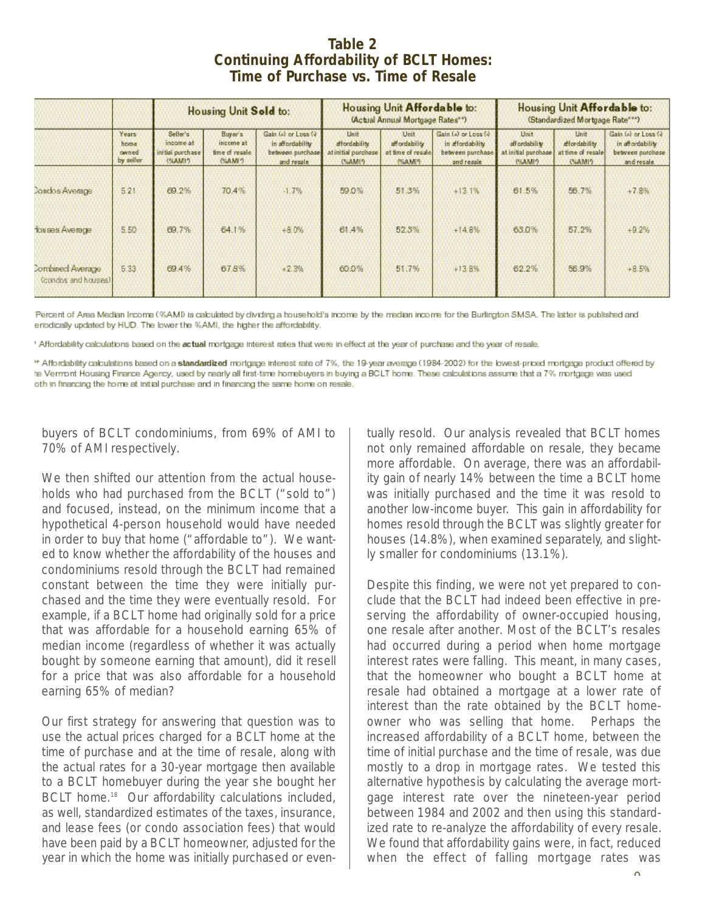#### **Table 2 Continuing Affordability of BCLT Homes: Time of Purchase vs. Time of Resale**

|                                                |                                     | <b>Housing Unit Sold to:</b>                                       |                                                                |                                                                            | <b>Housing Unit Affordable to:</b><br>(Actual Annual Mortgage Rates**) |                                                               |                                                                            | Housing Unit Affordable to:<br>(Standardized Mortgage Rate***) |                                                           |                                                                             |
|------------------------------------------------|-------------------------------------|--------------------------------------------------------------------|----------------------------------------------------------------|----------------------------------------------------------------------------|------------------------------------------------------------------------|---------------------------------------------------------------|----------------------------------------------------------------------------|----------------------------------------------------------------|-----------------------------------------------------------|-----------------------------------------------------------------------------|
|                                                | Years<br>home<br>owned<br>by seller | Seller's<br>income at<br>initial parchase.<br><b><i>USAMIO</i></b> | <b>Buyer's</b><br>income at<br>time of resale<br><b>CLAME?</b> | Gain (a) or Loss (a)<br>in affordability<br>between purchase<br>and resale | Unit<br>affordability<br>at initial purchase<br>CLAMES.                | Unit<br>aff ordability<br>at time of resale!<br><b>CLAMES</b> | Gain (a) or Loss (4)<br>in affordability<br>between purchase<br>and ressie | Unit<br>all ordability<br>at initial purchase<br><b>PEAMIO</b> | Unit.<br>dfordshifty<br>at time of resale<br><b>CLAMP</b> | Gain (4) or Loss (4)<br>in affordability<br>between purchase<br>and resale. |
| Condos Average                                 | 521                                 | 69.2%                                                              | 70.4%                                                          | $-1.7%$                                                                    | 59.0%                                                                  | 51.3%                                                         | $+13.1%$                                                                   | 61 5%                                                          | 56.7%                                                     | $+7.8%$                                                                     |
| <b>fou ses Average</b>                         | 5.50                                | 69.7%                                                              | 64.1%                                                          | $+8.0%$                                                                    | 61.4%                                                                  | 52.5%                                                         | $+14.8%$                                                                   | 63.0%                                                          | 57.2%                                                     | $+9.2%$                                                                     |
| <b>Combined Average</b><br>(condos and houses) | 5 3 3                               | 69 4%                                                              | 67.8%                                                          | $+2.3%$                                                                    | 60.0%                                                                  | 51.7%                                                         | $+13.8%$                                                                   | 62.2%                                                          | 56.9%                                                     | $+8.5%$                                                                     |

Percent of Area Median Income (%AMI) is calculated by dividing a household's income by the median income for the Burlington SMSA. The latter is published and eriodically updated by HUD. The lower the %AMI, the higher the affordability.

<sup>6</sup> Affordability calculations based on the actual mortgage interest rates that were in effect at the year of purchase and the year of resale.

\*\* Affordability calculations based on a standardized mortgage interest rate of 7%, the 19-year average (1984-2002) for the lowest-priced mortgage product offered by he Vermont Housing Finance Agency, used by nearly all first-time homebuyers in buying a BCLT home. These calculations assume that a 7% mortgage was used oth in financing the home at initial purchase and in financing the same home on resale.

buyers of BCLT condominiums, from 69% of AMI to 70% of AMI respectively.

We then shifted our attention from the actual households who had purchased from the BCLT ("sold to") and focused, instead, on the minimum income that a hypothetical 4-person household would have needed in order to buy that home ("affordable to"). We wanted to know whether the affordability of the houses and condominiums resold through the BCLT had remained constant between the time they were initially purchased and the time they were eventually resold. For example, if a BCLT home had originally sold for a price that was affordable for a household earning 65% of median income (regardless of whether it was actually bought by someone earning that amount), did it resell for a price that was also affordable for a household earning 65% of median?

Our first strategy for answering that question was to use the actual prices charged for a BCLT home at the time of purchase and at the time of resale, along with the actual rates for a 30-year mortgage then available to a BCLT homebuyer during the year she bought her BCLT home.<sup>18</sup> Our affordability calculations included, as well, standardized estimates of the taxes, insurance, and lease fees (or condo association fees) that would have been paid by a BCLT homeowner, adjusted for the year in which the home was initially purchased or eventually resold. Our analysis revealed that BCLT homes not only remained affordable on resale, they became more affordable. On average, there was an affordability gain of nearly 14% between the time a BCLT home was initially purchased and the time it was resold to another low-income buyer. This gain in affordability for homes resold through the BCLT was slightly greater for houses (14.8%), when examined separately, and slightly smaller for condominiums (13.1%).

Despite this finding, we were not yet prepared to conclude that the BCLT had indeed been effective in preserving the affordability of owner-occupied housing, one resale after another. Most of the BCLT's resales had occurred during a period when home mortgage interest rates were falling. This meant, in many cases, that the homeowner who bought a BCLT home at resale had obtained a mortgage at a lower rate of interest than the rate obtained by the BCLT homeowner who was selling that home. Perhaps the increased affordability of a BCLT home, between the time of initial purchase and the time of resale, was due mostly to a drop in mortgage rates. We tested this alternative hypothesis by calculating the average mortgage interest rate over the nineteen-year period between 1984 and 2002 and then using this standardized rate to re-analyze the affordability of every resale. We found that affordability gains were, in fact, reduced when the effect of falling mortgage rates was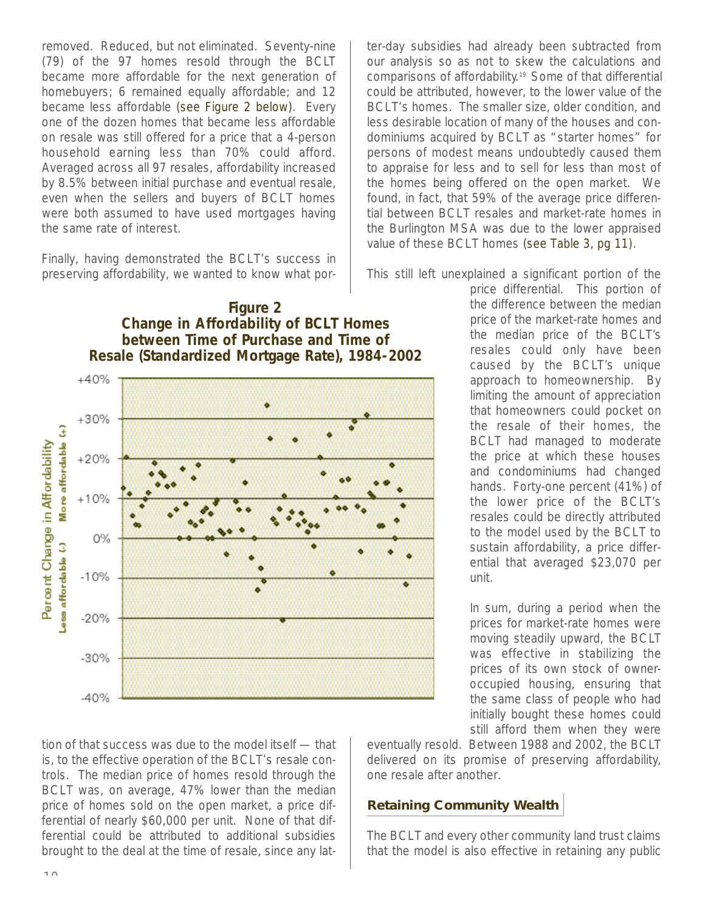removed. Reduced, but not eliminated. Seventy-nine (79) of the 97 homes resold through the BCLT became more affordable for the next generation of homebuyers; 6 remained equally affordable; and 12 became less affordable (see Figure 2 below). Every one of the dozen homes that became less affordable on resale was still offered for a price that a 4-person household earning less than 70% could afford. Averaged across all 97 resales, affordability increased by 8.5% between initial purchase and eventual resale, even when the sellers and buyers of BCLT homes were both assumed to have used mortgages having the same rate of interest.

Finally, having demonstrated the BCLT's success in preserving affordability, we wanted to know what porter-day subsidies had already been subtracted from our analysis so as not to skew the calculations and comparisons of affordability.<sup>19</sup> Some of that differential could be attributed, however, to the lower value of the BCLT's homes. The smaller size, older condition, and less desirable location of many of the houses and condominiums acquired by BCLT as "starter homes" for persons of modest means undoubtedly caused them to appraise for less and to sell for less than most of the homes being offered on the open market. We found, in fact, that 59% of the average price differential between BCLT resales and market-rate homes in the Burlington MSA was due to the lower appraised value of these BCLT homes (see Table 3, pg 11).

This still left unexplained a significant portion of the

**Figure 2 Change in Affordability of BCLT Homes between Time of Purchase and Time of Resale (Standardized Mortgage Rate), 1984-2002** $+40%$  $+30%$ More affordable (+) Percent Change in Affordability  $+20%$  $+10%$ 0% ess affordable (.)  $-10%$  $-20%$  $-30%$ 

price differential. This portion of the difference between the median price of the market-rate homes and the median price of the BCLT's resales could only have been caused by the BCLT's unique approach to homeownership. By limiting the amount of appreciation that homeowners could pocket on the resale of their homes, the BCLT had managed to moderate the price at which these houses and condominiums had changed hands. Forty-one percent (41%) of the lower price of the BCLT's resales could be directly attributed to the model used by the BCLT to sustain affordability, a price differential that averaged \$23,070 per unit.

In sum, during a period when the prices for market-rate homes were moving steadily upward, the BCLT was effective in stabilizing the prices of its own stock of owneroccupied housing, ensuring that the same class of people who had initially bought these homes could still afford them when they were

tion of that success was due to the model itself — that is, to the effective operation of the BCLT's resale controls. The median price of homes resold through the BCLT was, on average, 47% lower than the median price of homes sold on the open market, a price differential of nearly \$60,000 per unit. None of that differential could be attributed to additional subsidies brought to the deal at the time of resale, since any lateventually resold. Between 1988 and 2002, the BCLT delivered on its promise of preserving affordability, one resale after another.

#### **Retaining Community Wealth**

The BCLT and every other community land trust claims that the model is also effective in retaining any public

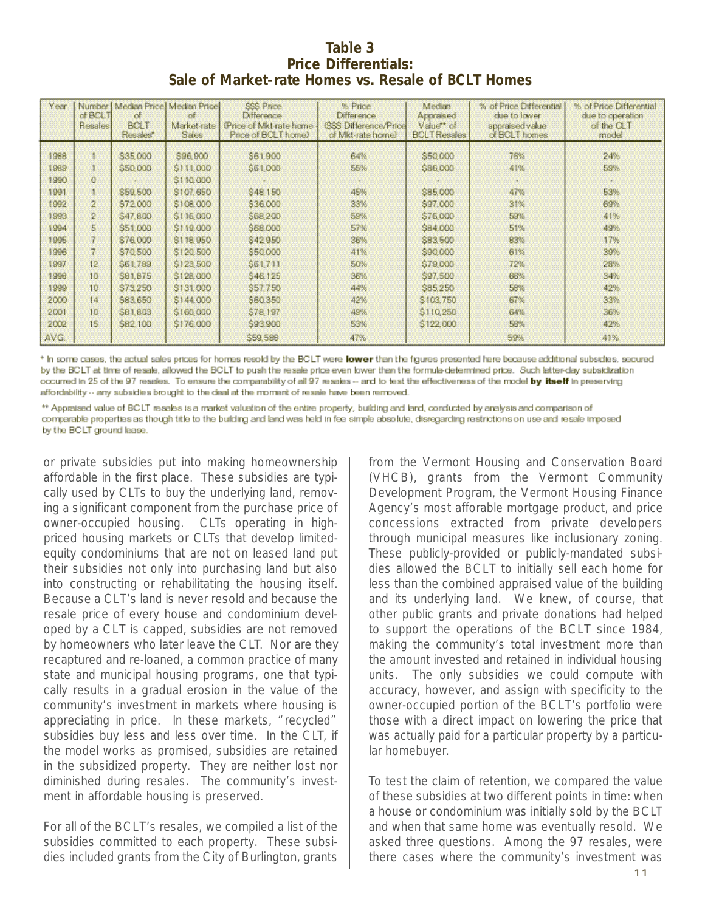#### **Table 3 Price Differentials: Sale of Market-rate Homes vs. Resale of BCLT Homes**

| Year | $of$ BCLT<br>Resales | $\alpha$<br>BOLT<br>Resales* | Number   Median Price] Median Price]<br>of.<br>Market-rate<br>Sales | SSS Price<br><b>Difference</b><br>(Price of Mkt-rate home)<br>Price of BCLT home) | % Price<br>Difference.<br><b>GSS Difference/Price</b><br>of Mkt-rate home) | Median.<br>Appraised<br>Value** of<br><b>BCLT Resales</b> | % of Price Differential<br>due to lower<br>appraised value<br>of BCLT homes | % of Price Differential<br>due to operation.<br>of the CLT<br>model |
|------|----------------------|------------------------------|---------------------------------------------------------------------|-----------------------------------------------------------------------------------|----------------------------------------------------------------------------|-----------------------------------------------------------|-----------------------------------------------------------------------------|---------------------------------------------------------------------|
| 1988 |                      | \$35,000                     | \$96,900                                                            | S61,900                                                                           | 64%                                                                        | \$50,000                                                  | 76%                                                                         | 24%                                                                 |
| 1989 | Ĩ.                   | \$50,000                     | \$111,000                                                           | \$61,000                                                                          | 55%                                                                        | \$86,000                                                  | 41%                                                                         | 59%                                                                 |
| 1990 | $\Omega$             |                              | \$110,000                                                           |                                                                                   |                                                                            |                                                           |                                                                             |                                                                     |
| 1991 | ă.                   | \$59,500                     | \$107,650                                                           | \$48,150                                                                          | 45%                                                                        | \$85,000                                                  | 47%                                                                         | 53%                                                                 |
| 1992 | 2                    | \$72,000                     | \$108,000                                                           | \$36,000                                                                          | 33%                                                                        | \$97,000                                                  | 31%                                                                         | 69%                                                                 |
| 1993 | $\overline{2}$       | \$47,800                     | \$116,000                                                           | \$68,200                                                                          | 59%                                                                        | \$76,000                                                  | 59%                                                                         | 41%                                                                 |
| 1994 | 5                    | \$51,000                     | \$119,000                                                           | \$68,000                                                                          | 57%                                                                        | \$84,000                                                  | 51%                                                                         | 49%                                                                 |
| 1995 | 7                    | \$76,000                     | \$118,950                                                           | \$42,950                                                                          | 36%                                                                        | \$83,500                                                  | 83%                                                                         | 17%                                                                 |
| 1996 | 7                    | \$70,500                     | \$120,500                                                           | \$50,000                                                                          | 41%                                                                        | \$90,000                                                  | 61%                                                                         | 39%                                                                 |
| 1997 | 12                   | \$61,789                     | \$123,500                                                           | \$61,711                                                                          | 50%                                                                        | \$79,000                                                  | 72%                                                                         | 28%                                                                 |
| 1998 | 10                   | \$81,875                     | \$128,000                                                           | \$46,125                                                                          | 36%                                                                        | \$97,500                                                  | 66%                                                                         | 34%                                                                 |
| 1999 | 10 <sub>10</sub>     | \$73,250                     | \$131,000                                                           | \$57,750                                                                          | 44%                                                                        | \$85,250                                                  | 58%                                                                         | 42%                                                                 |
| 2000 | 14                   | \$83,650                     | \$144,000                                                           | \$60,350                                                                          | 42%                                                                        | \$103,750                                                 | 67%                                                                         | 33%                                                                 |
| 2001 | 10 <sup>°</sup>      | \$81,803                     | \$160,000                                                           | \$78,197                                                                          | 49%                                                                        | \$110,250                                                 | 64%                                                                         | 36%                                                                 |
| 2002 | 15                   | \$82,100                     | \$176,000                                                           | \$93,900                                                                          | 53%                                                                        | \$122,000                                                 | 58%                                                                         | 42%                                                                 |
| AVG. |                      |                              |                                                                     | \$59,588                                                                          | 47%                                                                        |                                                           | 59%                                                                         | 41%                                                                 |

\* In some cases, the actual sales prices for homes resold by the BCLT were lower than the figures presented here because additional subsidies, secured by the BCLT at time of resale, allowed the BCLT to push the resale price even lower than the formula-determined price. Such latter-day subsidization occurred in 25 of the 97 resales. To ensure the comparability of all 97 resales -- and to test the effectiveness of the model by itself in preserving affordability -- any subsidies brought to the deal at the moment of resale have been removed.

\*\* Appraised value of BCLT resales is a market valuation of the entire property, building and land, conducted by analysis and comparison of comparable properties as though title to the building and land was held in fee simple absolute, disregarding restrictions on use and resale imposed by the BCLT ground lease.

or private subsidies put into making homeownership affordable in the first place. These subsidies are typically used by CLTs to buy the underlying land, removing a significant component from the purchase price of owner-occupied housing. CLTs operating in highpriced housing markets or CLTs that develop limitedequity condominiums that are not on leased land put their subsidies not only into purchasing land but also into constructing or rehabilitating the housing itself. Because a CLT's land is never resold and because the resale price of every house and condominium developed by a CLT is capped, subsidies are not removed by homeowners who later leave the CLT. Nor are they recaptured and re-loaned, a common practice of many state and municipal housing programs, one that typically results in a gradual erosion in the value of the community's investment in markets where housing is appreciating in price. In these markets, "recycled" subsidies buy less and less over time. In the CLT, if the model works as promised, subsidies are retained in the subsidized property. They are neither lost nor diminished during resales. The community's investment in affordable housing is preserved.

For all of the BCLT's resales, we compiled a list of the subsidies committed to each property. These subsidies included grants from the City of Burlington, grants

from the Vermont Housing and Conservation Board (VHCB), grants from the Vermont Community Development Program, the Vermont Housing Finance Agency's most afforable mortgage product, and price concessions extracted from private developers through municipal measures like inclusionary zoning. These publicly-provided or publicly-mandated subsidies allowed the BCLT to initially sell each home for less than the combined appraised value of the building and its underlying land. We knew, of course, that other public grants and private donations had helped to support the operations of the BCLT since 1984, making the community's total investment more than the amount invested and retained in individual housing units. The only subsidies we could compute with accuracy, however, and assign with specificity to the owner-occupied portion of the BCLT's portfolio were those with a direct impact on lowering the price that was actually paid for a particular property by a particular homebuyer.

To test the claim of retention, we compared the value of these subsidies at two different points in time: when a house or condominium was initially sold by the BCLT and when that same home was eventually resold. We asked three questions. Among the 97 resales, were there cases where the community's investment was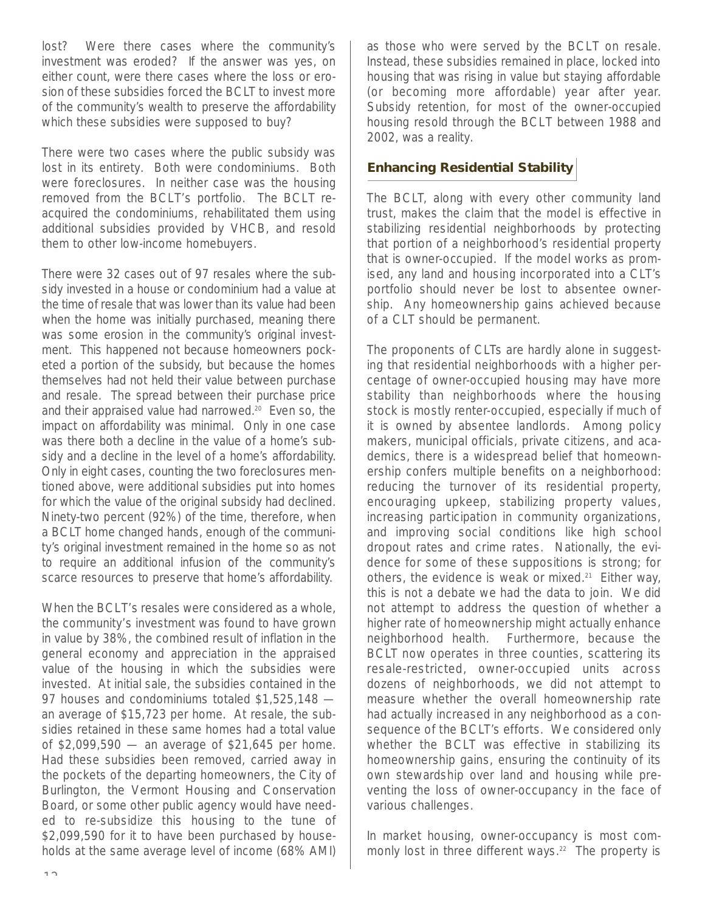lost? Were there cases where the community's investment was eroded? If the answer was yes, on either count, were there cases where the loss or erosion of these subsidies forced the BCLT to invest more of the community's wealth to preserve the affordability which these subsidies were supposed to buy?

There were two cases where the public subsidy was lost in its entirety. Both were condominiums. Both were foreclosures. In neither case was the housing removed from the BCLT's portfolio. The BCLT reacquired the condominiums, rehabilitated them using additional subsidies provided by VHCB, and resold them to other low-income homebuyers.

There were 32 cases out of 97 resales where the subsidy invested in a house or condominium had a value at the time of resale that was lower than its value had been when the home was initially purchased, meaning there was some erosion in the community's original investment. This happened not because homeowners pocketed a portion of the subsidy, but because the homes themselves had not held their value between purchase and resale. The spread between their purchase price and their appraised value had narrowed.<sup>20</sup> Even so, the impact on affordability was minimal. Only in one case was there both a decline in the value of a home's subsidy and a decline in the level of a home's affordability. Only in eight cases, counting the two foreclosures mentioned above, were additional subsidies put into homes for which the value of the original subsidy had declined. Ninety-two percent (92%) of the time, therefore, when a BCLT home changed hands, enough of the community's original investment remained in the home so as not to require an additional infusion of the community's scarce resources to preserve that home's affordability.

When the BCLT's resales were considered as a whole, the community's investment was found to have grown in value by 38%, the combined result of inflation in the general economy and appreciation in the appraised value of the housing in which the subsidies were invested. At initial sale, the subsidies contained in the 97 houses and condominiums totaled \$1,525,148 an average of \$15,723 per home. At resale, the subsidies retained in these same homes had a total value of \$2,099,590 — an average of \$21,645 per home. Had these subsidies been removed, carried away in the pockets of the departing homeowners, the City of Burlington, the Vermont Housing and Conservation Board, or some other public agency would have needed to re-subsidize this housing to the tune of \$2,099,590 for it to have been purchased by households at the same average level of income (68% AMI)

as those who were served by the BCLT on resale. Instead, these subsidies remained in place, locked into housing that was rising in value but staying affordable (or becoming more affordable) year after year. Subsidy retention, for most of the owner-occupied housing resold through the BCLT between 1988 and 2002, was a reality.

#### **Enhancing Residential Stability**

The BCLT, along with every other community land trust, makes the claim that the model is effective in stabilizing residential neighborhoods by protecting that portion of a neighborhood's residential property that is owner-occupied. If the model works as promised, any land and housing incorporated into a CLT 's portfolio should never be lost to absentee ownership. Any homeownership gains achieved because of a CLT should be permanent.

The proponents of CLTs are hardly alone in suggesting that residential neighborhoods with a higher percentage of owner-occupied housing may have more stability than neighborhoods where the housing stock is mostly renter-occupied, especially if much of it is owned by absentee landlords. Among policy makers, municipal officials, private citizens, and academics, there is a widespread belief that homeownership confers multiple benefits on a neighborhood: reducing the turnover of its residential property, encouraging upkeep, stabilizing property values, increasing participation in community organizations, and improving social conditions like high school dropout rates and crime rates. Nationally, the evidence for some of these suppositions is strong; for others, the evidence is weak or mixed.<sup>21</sup> Either way, this is not a debate we had the data to join. We did not attempt to address the question of whether a higher rate of homeownership might actually enhance neighborhood health. Furthermore, because the BCLT now operates in three counties, scattering its resale-restricted, owner-occupied units across dozens of neighborhoods, we did not attempt to measure whether the overall homeownership rate had actually increased in any neighborhood as a consequence of the BCLT's efforts. We considered only whether the BCLT was effective in stabilizing its homeownership gains, ensuring the continuity of its own stewardship over land and housing while preventing the loss of owner-occupancy in the face of various challenges.

In market housing, owner-occupancy is most commonly lost in three different ways.<sup>22</sup> The property is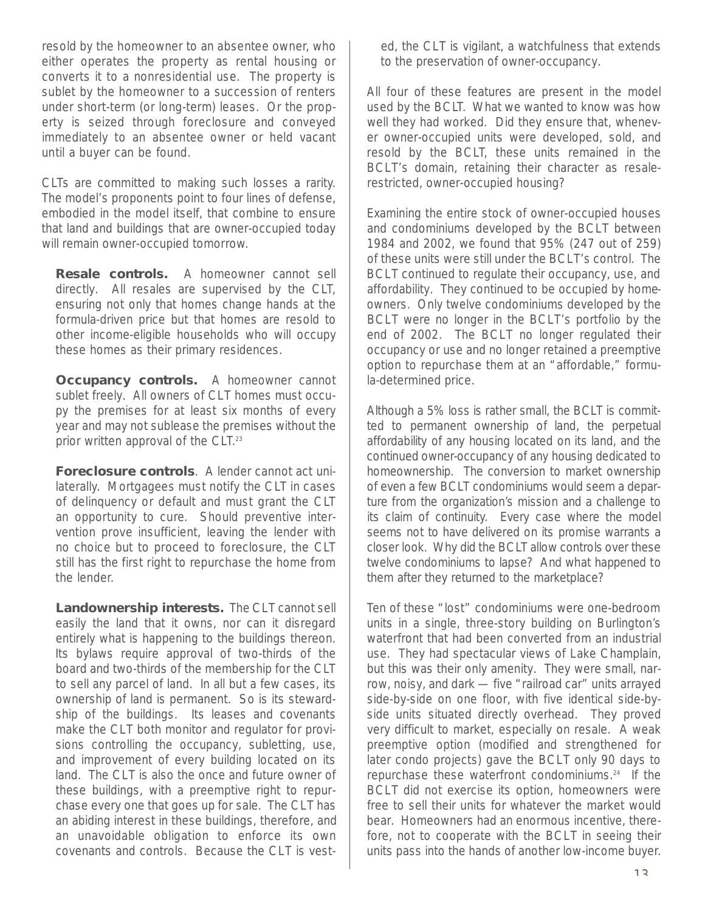resold by the homeowner to an absentee owner, who either operates the property as rental housing or converts it to a nonresidential use. The property is sublet by the homeowner to a succession of renters under short-term (or long-term) leases. Or the property is seized through foreclosure and conveyed immediately to an absentee owner or held vacant until a buyer can be found.

CLTs are committed to making such losses a rarity. The model's proponents point to four lines of defense, embodied in the model itself, that combine to ensure that land and buildings that are owner-occupied today will remain owner-occupied tomorrow.

**Resale controls.** A homeowner cannot sell directly. All resales are supervised by the CLT, ensuring not only that homes change hands at the formula-driven price but that homes are resold to other income-eligible households who will occupy these homes as their primary residences.

**Occupancy controls.** A homeowner cannot sublet freely. All owners of CLT homes must occupy the premises for at least six months of every year and may not sublease the premises without the prior written approval of the CLT.<sup>23</sup>

**Foreclosure controls**. A lender cannot act unilaterally. Mortgagees must notify the CLT in cases of delinquency or default and must grant the CLT an opportunity to cure. Should preventive intervention prove insufficient, leaving the lender with no choice but to proceed to foreclosure, the CLT still has the first right to repurchase the home from the lender.

**Landownership interests.** The CLT cannot sell easily the land that it owns, nor can it disregard entirely what is happening to the buildings thereon. Its bylaws require approval of two-thirds of the board and two-thirds of the membership for the CLT to sell any parcel of land. In all but a few cases, its ownership of land is permanent. So is its stewardship of the buildings. Its leases and covenants make the CLT both monitor and regulator for provisions controlling the occupancy, subletting, use, and improvement of every building located on its land. The CLT is also the once and future owner of these buildings, with a preemptive right to repurchase every one that goes up for sale. The CLT has an abiding interest in these buildings, therefore, and an unavoidable obligation to enforce its own covenants and controls. Because the CLT is vested, the CLT is vigilant, a watchfulness that extends to the preservation of owner-occupancy.

All four of these features are present in the model used by the BCLT. What we wanted to know was how well they had worked. Did they ensure that, whenever owner-occupied units were developed, sold, and resold by the BCLT, these units remained in the BCLT's domain, retaining their character as resalerestricted, owner-occupied housing?

Examining the entire stock of owner-occupied houses and condominiums developed by the BCLT between 1984 and 2002, we found that 95% (247 out of 259) of these units were still under the BCLT's control. The BCLT continued to regulate their occupancy, use, and affordability. They continued to be occupied by homeowners. Only twelve condominiums developed by the BCLT were no longer in the BCLT's portfolio by the end of 2002. The BCLT no longer regulated their occupancy or use and no longer retained a preemptive option to repurchase them at an "affordable," formula-determined price.

Although a 5% loss is rather small, the BCLT is committed to permanent ownership of land, the perpetual affordability of any housing located on its land, and the continued owner-occupancy of any housing dedicated to homeownership. The conversion to market ownership of even a few BCLT condominiums would seem a departure from the organization's mission and a challenge to its claim of continuity. Every case where the model seems not to have delivered on its promise warrants a closer look. Why did the BCLT allow controls over these twelve condominiums to lapse? And what happened to them after they returned to the marketplace?

Ten of these "lost" condominiums were one-bedroom units in a single, three-story building on Burlington's waterfront that had been converted from an industrial use. They had spectacular views of Lake Champlain, but this was their only amenity. They were small, narrow, noisy, and dark — five "railroad car" units arrayed side-by-side on one floor, with five identical side-byside units situated directly overhead. They proved very difficult to market, especially on resale. A weak preemptive option (modified and strengthened for later condo projects) gave the BCLT only 90 days to repurchase these waterfront condominiums.<sup>24</sup> If the BCLT did not exercise its option, homeowners were free to sell their units for whatever the market would bear. Homeowners had an enormous incentive, therefore, not to cooperate with the BCLT in seeing their units pass into the hands of another low-income buyer.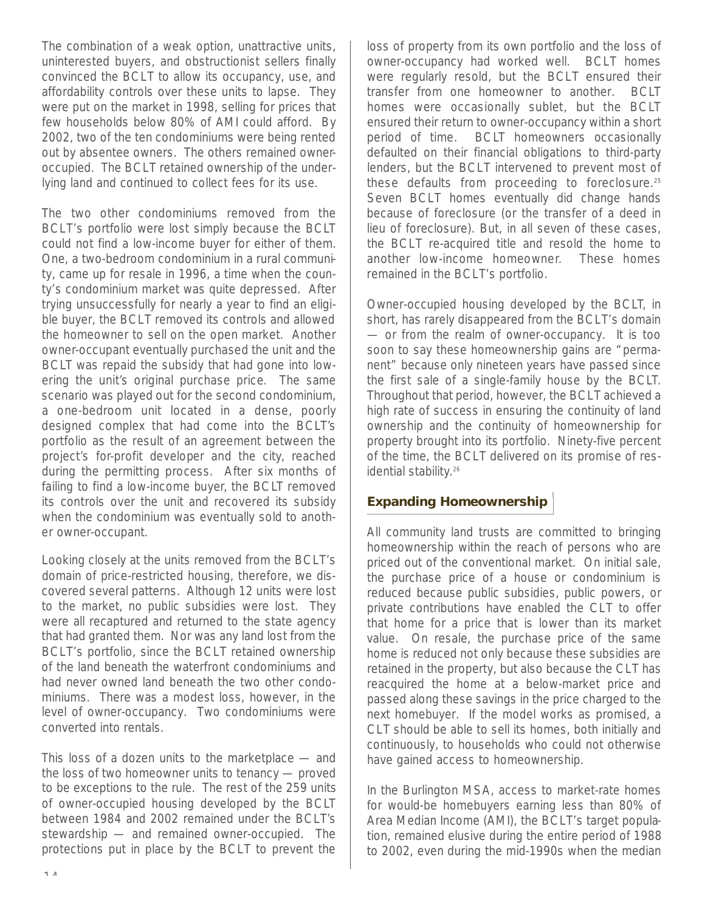The combination of a weak option, unattractive units, uninterested buyers, and obstructionist sellers finally convinced the BCLT to allow its occupancy, use, and affordability controls over these units to lapse. They were put on the market in 1998, selling for prices that few households below 80% of AMI could afford. By 2002, two of the ten condominiums were being rented out by absentee owners. The others remained owneroccupied. The BCLT retained ownership of the underlying land and continued to collect fees for its use.

The two other condominiums removed from the BCLT's portfolio were lost simply because the BCLT could not find a low-income buyer for either of them. One, a two-bedroom condominium in a rural community, came up for resale in 1996, a time when the county's condominium market was quite depressed. After trying unsuccessfully for nearly a year to find an eligible buyer, the BCLT removed its controls and allowed the homeowner to sell on the open market. Another owner-occupant eventually purchased the unit and the BCLT was repaid the subsidy that had gone into lowering the unit's original purchase price. The same scenario was played out for the second condominium, a one-bedroom unit located in a dense, poorly designed complex that had come into the BCLT 's portfolio as the result of an agreement between the project's for-profit developer and the city, reached during the permitting process. After six months of failing to find a low-income buyer, the BCLT removed its controls over the unit and recovered its subsidy when the condominium was eventually sold to another owner-occupant.

Looking closely at the units removed from the BCLT's domain of price-restricted housing, therefore, we discovered several patterns. Although 12 units were lost to the market, no public subsidies were lost. They were all recaptured and returned to the state agency that had granted them. Nor was any land lost from the BCLT's portfolio, since the BCLT retained ownership of the land beneath the waterfront condominiums and had never owned land beneath the two other condominiums. There was a modest loss, however, in the level of owner-occupancy. Two condominiums were converted into rentals.

This loss of a dozen units to the marketplace — and the loss of two homeowner units to tenancy — proved to be exceptions to the rule. The rest of the 259 units of owner-occupied housing developed by the BCLT between 1984 and 2002 remained under the BCLT's stewardship — and remained owner-occupied. The protections put in place by the BCLT to prevent the

loss of property from its own portfolio and the loss of owner-occupancy had worked well. BCLT homes were regularly resold, but the BCLT ensured their transfer from one homeowner to another. BCLT homes were occasionally sublet, but the BCLT ensured their return to owner-occupancy within a short period of time. BCLT homeowners occasionally defaulted on their financial obligations to third-party lenders, but the BCLT intervened to prevent most of these defaults from proceeding to foreclosure. $25$ Seven BCLT homes eventually did change hands because of foreclosure (or the transfer of a deed in lieu of foreclosure). But, in all seven of these cases, the BCLT re-acquired title and resold the home to another low-income homeowner. These homes remained in the BCLT's portfolio.

Owner-occupied housing developed by the BCLT, in short, has rarely disappeared from the BCLT's domain — or from the realm of owner-occupancy. It is too soon to say these homeownership gains are "permanent" because only nineteen years have passed since the first sale of a single-family house by the BCLT. Throughout that period, however, the BCLT achieved a high rate of success in ensuring the continuity of land ownership and the continuity of homeownership for property brought into its portfolio. Ninety-five percent of the time, the BCLT delivered on its promise of residential stability. 26

#### **Expanding Homeownership**

All community land trusts are committed to bringing homeownership within the reach of persons who are priced out of the conventional market. On initial sale, the purchase price of a house or condominium is reduced because public subsidies, public powers, or private contributions have enabled the CLT to offer that home for a price that is lower than its market value. On resale, the purchase price of the same home is reduced not only because these subsidies are retained in the property, but also because the CLT has reacquired the home at a below-market price and passed along these savings in the price charged to the next homebuyer. If the model works as promised, a CLT should be able to sell its homes, both initially and continuously, to households who could not otherwise have gained access to homeownership.

In the Burlington MSA, access to market-rate homes for would-be homebuyers earning less than 80% of Area Median Income (AMI), the BCLT's target population, remained elusive during the entire period of 1988 to 2002, even during the mid-1990s when the median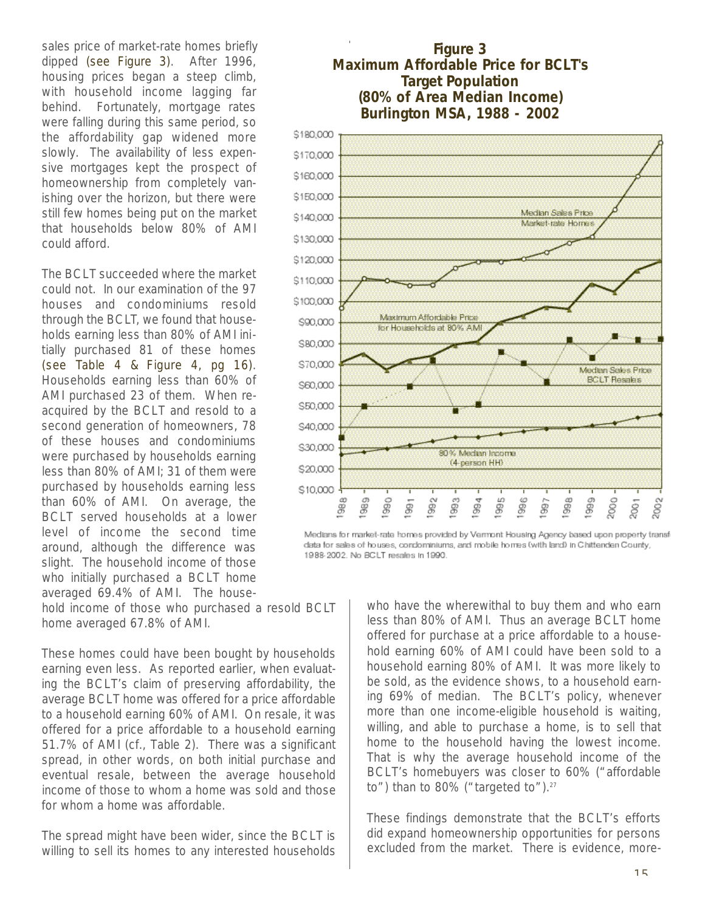sales price of market-rate homes briefly dipped (see Figure 3). After 1996, housing prices began a steep climb, with household income lagging far behind. Fortunately, mortgage rates were falling during this same period, so the affordability gap widened more slowly. The availability of less expensive mortgages kept the prospect of homeownership from completely vanishing over the horizon, but there were still few homes being put on the market that households below 80% of AMI could afford.

The BCLT succeeded where the market could not. In our examination of the 97 houses and condominiums resold through the BCLT, we found that households earning less than 80% of AMI initially purchased 81 of these homes (see Table 4 & Figure 4, pg 16). Households earning less than 60% of AMI purchased 23 of them. When reacquired by the BCLT and resold to a second generation of homeowners, 78 of these houses and condominiums were purchased by households earning less than 80% of AMI; 31 of them were purchased by households earning less than 60% of AMI. On average, the BCLT served households at a lower level of income the second time around, although the difference was slight. The household income of those who initially purchased a BCLT home averaged 69.4% of AMI. The house-

hold income of those who purchased a resold BCLT home averaged 67.8% of AMI.

These homes could have been bought by households earning even less. As reported earlier, when evaluating the BCLT's claim of preserving affordability, the average BCLT home was offered for a price affordable to a household earning 60% of AMI. On resale, it was offered for a price affordable to a household earning 51.7% of AMI (cf., Table 2). There was a significant spread, in other words, on both initial purchase and eventual resale, between the average household income of those to whom a home was sold and those for whom a home was affordable.

The spread might have been wider, since the BCLT is willing to sell its homes to any interested households

#### **Figure 3 Maximum Affordable Price for BCLT's Target Population (80% of Area Median Income) Burlington MSA, 1988 - 2002**



Medians for market-rate homes provided by Vermont Housing Agency based upon property transf data for sales of houses, condominiums, and mobile homes (with land) in Chittenden County, 1988-2002. No BCLT resales in 1990.

> who have the wherewithal to buy them and who earn less than 80% of AMI. Thus an average BCLT home offered for purchase at a price affordable to a household earning 60% of AMI could have been sold to a household earning 80% of AMI. It was more likely to be sold, as the evidence shows, to a household earning 69% of median. The BCLT's policy, whenever more than one income-eligible household is waiting, willing, and able to purchase a home, is to sell that home to the household having the lowest income. That is why the average household income of the BCLT's homebuyers was closer to 60% ("affordable to") than to 80% ("targeted to").<sup>27</sup>

> These findings demonstrate that the BCLT's efforts did expand homeownership opportunities for persons excluded from the market. There is evidence, more-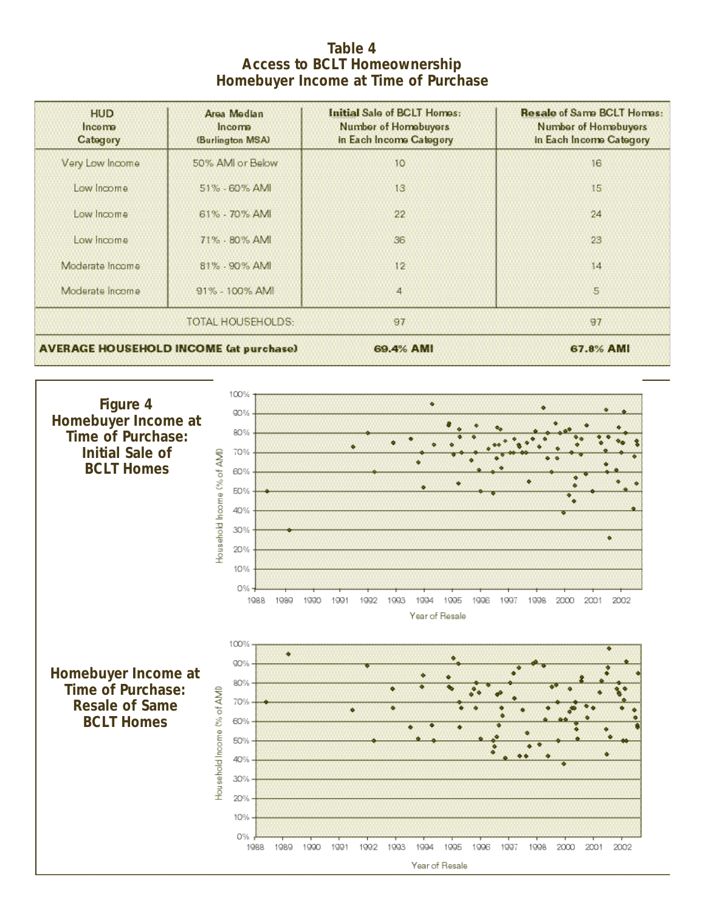#### **Table 4 Access to BCLT Homeownership Homebuyer Income at Time of Purchase**

| <b>HUD</b><br>Income<br>Category | Area Median<br>Income<br>(Burlington MSA)     | Initial Sale of BCLT Homes:<br><b>Number of Homebuyers</b><br>In Each Income Category | <b>Resale of Same BCLT Homes:</b><br><b>Number of Homebuyers</b><br>In Each Income Category |
|----------------------------------|-----------------------------------------------|---------------------------------------------------------------------------------------|---------------------------------------------------------------------------------------------|
| Very Low Income                  | 50% AMI or Below                              | 10 <sup>°</sup>                                                                       | 16                                                                                          |
| Low Income                       | 51% - 60% AMI                                 | 13                                                                                    | 15                                                                                          |
| Low Income                       | 61% - 70% AMI                                 | 22                                                                                    | 24                                                                                          |
| Low Income                       | 71% - 80% AMI                                 | 36                                                                                    | 23.                                                                                         |
| Moderate Income                  | 81% - 90% AMI                                 | 12 <sup>2</sup>                                                                       | 14                                                                                          |
| Moderate income                  | $91\% - 100\%$ AMI                            | $\overline{4}$                                                                        | 5.                                                                                          |
|                                  | <b>TOTAL HOUSEHOLDS:</b>                      | 97                                                                                    | 97                                                                                          |
|                                  | <b>AVERAGE HOUSEHOLD INCOME (at purchase)</b> | 69.4% AMI                                                                             | 67.8% AMI                                                                                   |

+ 6 A

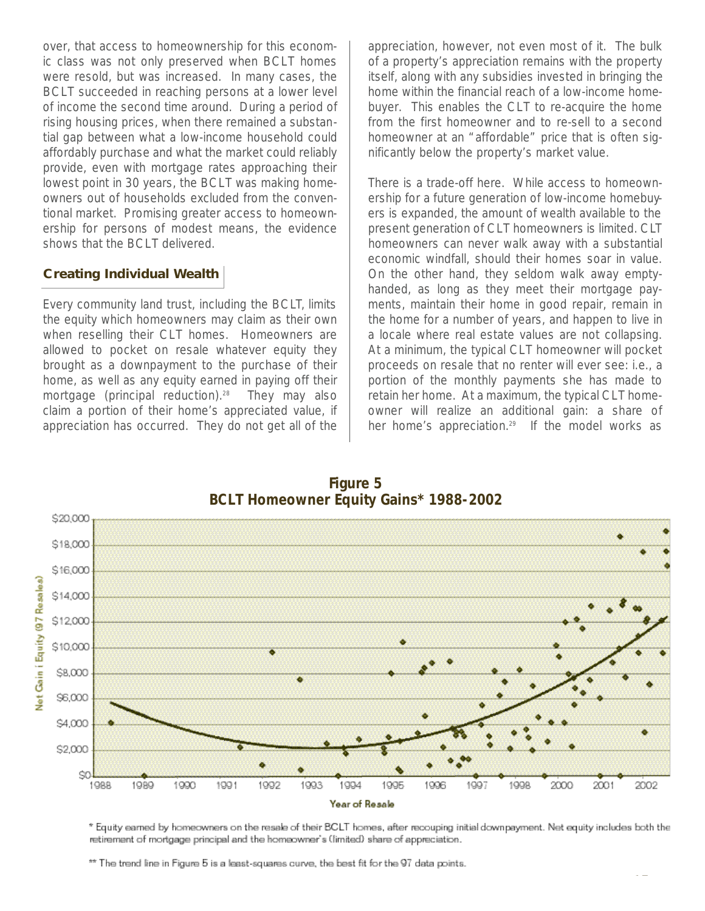over, that access to homeownership for this economic class was not only preserved when BCLT homes were resold, but was increased. In many cases, the BCLT succeeded in reaching persons at a lower level of income the second time around. During a period of rising housing prices, when there remained a substantial gap between what a low-income household could affordably purchase and what the market could reliably provide, even with mortgage rates approaching their lowest point in 30 years, the BCLT was making homeowners out of households excluded from the conventional market. Promising greater access to homeownership for persons of modest means, the evidence shows that the BCLT delivered.

#### **Creating Individual Wealth**

Every community land trust, including the BCLT, limits the equity which homeowners may claim as their own when reselling their CLT homes. Homeowners are allowed to pocket on resale whatever equity they brought as a downpayment to the purchase of their home, as well as any equity earned in paying off their mortgage (principal reduction).<sup>28</sup> They may also claim a portion of their home's appreciated value, if appreciation has occurred. They do not get all of the

appreciation, however, not even most of it. The bulk of a property's appreciation remains with the property itself, along with any subsidies invested in bringing the home within the financial reach of a low-income homebuyer. This enables the CLT to re-acquire the home from the first homeowner and to re-sell to a second homeowner at an "affordable" price that is often significantly below the property's market value.

There is a trade-off here. While access to homeownership for a future generation of low-income homebuyers is expanded, the amount of wealth available to the present generation of CLT homeowners is limited. CLT homeowners can never walk away with a substantial economic windfall, should their homes soar in value. On the other hand, they seldom walk away emptyhanded, as long as they meet their mortgage payments, maintain their home in good repair, remain in the home for a number of years, and happen to live in a locale where real estate values are not collapsing. At a minimum, the typical CLT homeowner will pocket proceeds on resale that no renter will ever see: i.e., a portion of the monthly payments she has made to retain her home. At a maximum, the typical CLT homeowner will realize an additional gain: a share of her home's appreciation.<sup>29</sup> If the model works as



**Figure 5**

\* Equity earned by homeowners on the resale of their BCLT homes, after recouping initial downpayment. Net equity includes both the retirement of mortgage principal and the homeowner's (limited) share of appreciation.

\*\* The trend line in Figure 5 is a least-squares curve, the best fit for the 97 data points.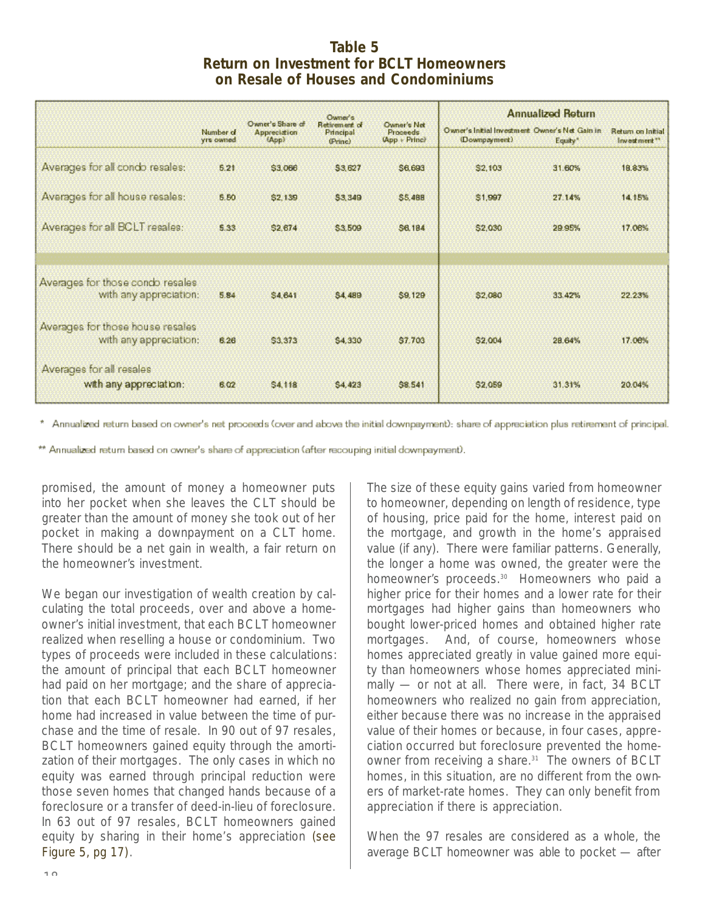#### **Table 5 Return on Investment for BCLT Homeowners on Resale of Houses and Condominiums**

|                                                            |                               |                                                  | Owner's                               |                                          |                                                                 | <b>Annualized Return</b> |                                               |
|------------------------------------------------------------|-------------------------------|--------------------------------------------------|---------------------------------------|------------------------------------------|-----------------------------------------------------------------|--------------------------|-----------------------------------------------|
|                                                            | Number of<br><b>Yrs</b> owned | Owner's Share of<br><b>Appreciation</b><br>(App) | Retirement of<br>Principal<br>(Princ) | Owner's Net<br>Proceeds<br>(App + Princ) | Owner's Initial Investment Owner's Net Gain in<br>(Downpayment) | Equity*                  | Return on Initial<br>investment <sup>**</sup> |
| Averages for all condo resales:                            | 5.21                          | \$3,066                                          | <b>S3.627</b>                         | <b>S6.693</b>                            | \$2,103                                                         | 31.60%                   | 18.83%                                        |
| Averages for all house resales:                            | 5.50                          | \$2,139                                          | 53,349                                | <b>S5,488</b>                            | \$1,997                                                         | 27.14%                   | 14.15%                                        |
| Averages for all BCLT resales:                             | 5.33                          | \$2,674                                          | \$3,509                               | <b>S6.184</b>                            | \$2,030                                                         | 29.95%                   | 17.06%                                        |
|                                                            |                               |                                                  |                                       |                                          |                                                                 |                          |                                               |
| Averages for those condo resales<br>with any appreciation: | 5.84                          | \$4,641                                          | <b>S4 489</b>                         | <b>\$9,129</b>                           | \$2,080                                                         | 33.42%                   | 22.23%                                        |
| Averages for those house resales<br>with any appreciation: | 6.26                          | \$3,373                                          | \$4,330                               | \$7,703                                  | \$2,004                                                         | 28.64%                   | 17.06%                                        |
| Averages for all resales<br>with any appreciation:         | 6.02                          | S4,118                                           | S4,423                                | S8.541                                   | \$2,059                                                         | 31.31%                   | 20.04%                                        |

\* Annualized return based on owner's net proceeds (over and abova the initial downpayment): share of appreciation plus retirement of principal.

\*\* Annualized return based on owner's share of appreciation (after recouping initial downpayment).

promised, the amount of money a homeowner puts into her pocket when she leaves the CLT should be greater than the amount of money she took out of her pocket in making a downpayment on a CLT home. There should be a net gain in wealth, a fair return on the homeowner's investment.

We began our investigation of wealth creation by calculating the total proceeds, over and above a homeowner's initial investment, that each BCLT homeowner realized when reselling a house or condominium. Two types of proceeds were included in these calculations: the amount of principal that each BCLT homeowner had paid on her mortgage; and the share of appreciation that each BCLT homeowner had earned, if her home had increased in value between the time of purchase and the time of resale. In 90 out of 97 resales, BCLT homeowners gained equity through the amortization of their mortgages. The only cases in which no equity was earned through principal reduction were those seven homes that changed hands because of a foreclosure or a transfer of deed-in-lieu of foreclosure. In 63 out of 97 resales, BCLT homeowners gained equity by sharing in their home's appreciation (see Figure 5, pg 17).

The size of these equity gains varied from homeowner to homeowner, depending on length of residence, type of housing, price paid for the home, interest paid on the mortgage, and growth in the home's appraised value (if any). There were familiar patterns. Generally, the longer a home was owned, the greater were the homeowner's proceeds.<sup>30</sup> Homeowners who paid a higher price for their homes and a lower rate for their mortgages had higher gains than homeowners who bought lower-priced homes and obtained higher rate mortgages. And, of course, homeowners whose homes appreciated greatly in value gained more equity than homeowners whose homes appreciated minimally — or not at all. There were, in fact, 34 BCLT homeowners who realized no gain from appreciation, either because there was no increase in the appraised value of their homes or because, in four cases, appreciation occurred but foreclosure prevented the homeowner from receiving a share.<sup>31</sup> The owners of BCLT homes, in this situation, are no different from the owners of market-rate homes. They can only benefit from appreciation if there is appreciation.

When the 97 resales are considered as a whole, the average BCLT homeowner was able to pocket — after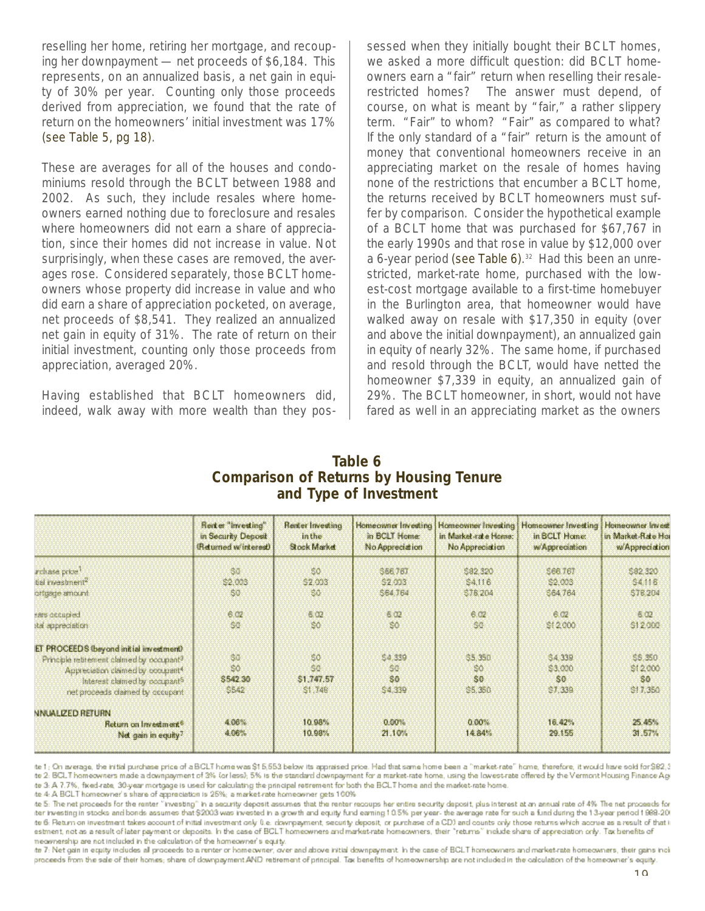reselling her home, retiring her mortgage, and recouping her downpayment — net proceeds of \$6,184. This represents, on an annualized basis, a net gain in equity of 30% per year. Counting only those proceeds derived from appreciation, we found that the rate of return on the homeowners' initial investment was 17% (see Table 5, pg 18).

These are averages for all of the houses and condominiums resold through the BCLT between 1988 and 2002. As such, they include resales where homeowners earned nothing due to foreclosure and resales where homeowners did not earn a share of appreciation, since their homes did not increase in value. Not surprisingly, when these cases are removed, the averages rose. Considered separately, those BCLT homeowners whose property did increase in value and who did earn a share of appreciation pocketed, on average, net proceeds of \$8,541. They realized an annualized net gain in equity of 31%. The rate of return on their initial investment, counting only those proceeds from appreciation, averaged 20%.

Having established that BCLT homeowners did, indeed, walk away with more wealth than they possessed when they initially bought their BCLT homes, we asked a more difficult question: did BCLT homeowners earn a "fair" return when reselling their resalerestricted homes? The answer must depend, of course, on what is meant by "fair," a rather slippery term. "Fair" to whom? "Fair" as compared to what? If the only standard of a "fair" return is the amount of money that conventional homeowners receive in an appreciating market on the resale of homes having none of the restrictions that encumber a BCLT home, the returns received by BCLT homeowners must suffer by comparison. Consider the hypothetical example of a BCLT home that was purchased for \$67,767 in the early 1990s and that rose in value by \$12,000 over a 6-year period (see Table 6). <sup>32</sup> Had this been an unrestricted, market-rate home, purchased with the lowest-cost mortgage available to a first-time homebuyer in the Burlington area, that homeowner would have walked away on resale with \$17,350 in equity (over and above the initial downpayment), an annualized gain in equity of nearly 32%. The same home, if purchased and resold through the BCLT, would have netted the homeowner \$7,339 in equity, an annualized gain of 29%. The BCLT homeowner, in short, would not have fared as well in an appreciating market as the owners

#### **Table 6 Comparison of Returns by Housing Tenure and Type of Investment**

|                                                                                | Red er "Investing"<br>in Security Deposit<br>(Returned w'interest) | <b>Renter Investing</b><br>in the<br>Stock Market | Homeowner Investing<br>in BCLT Home:<br>No Appreciation | in Market-rate Home:<br>No Appreciation | Homeowner Investing   Homeowner Investing<br>in <b>SCLT</b> Home:<br>w/Appreciation | Homeowner Invest<br>in Market Rate Hor<br>w/Appreciation |
|--------------------------------------------------------------------------------|--------------------------------------------------------------------|---------------------------------------------------|---------------------------------------------------------|-----------------------------------------|-------------------------------------------------------------------------------------|----------------------------------------------------------|
| archase price <sup>1</sup><br>bal investment <sup>4</sup>                      | 80<br>\$2,003                                                      | 50<br>\$2,003                                     | <b>S66767</b><br>\$2,003                                | 582.320<br>\$4.116                      | 566,767<br>\$2,003                                                                  | 582.320<br><b>S4116</b>                                  |
| ortgage amount                                                                 | 50.                                                                | 86                                                | \$64,764                                                | \$78,204                                | \$64,764                                                                            | 578,204                                                  |
| beinsabered                                                                    | 6.02                                                               | 602                                               | 6 <sup>2</sup>                                          | 6.02                                    | 6.02.                                                                               | 602                                                      |
| ital appreciation                                                              | 86                                                                 | 80                                                | 80                                                      | 80                                      | \$12,000                                                                            | \$12,000                                                 |
| ET PROCEEDS (beyond initial investment)                                        |                                                                    |                                                   |                                                         |                                         |                                                                                     |                                                          |
| Principle retirement claimed by occupant3                                      | \$0                                                                | 50                                                | 54.339                                                  | \$5,350                                 | \$4,339                                                                             | 55,350                                                   |
| Appreciation claimed by coolpant <sup>4</sup>                                  | \$0                                                                | 30                                                | 80                                                      | 80                                      | \$3,000                                                                             | \$12,000                                                 |
| Interest claimed by occupant <sup>5</sup><br>net proceeds claimed by occupant. | \$542.30<br>\$542                                                  | \$1,747.57<br>\$1,748                             | 80<br>\$4,339                                           | S <sub>0</sub><br>\$5,350               | \$0<br>\$7,339                                                                      | 30<br>\$17,350                                           |
| NNUALIZED RETURN                                                               |                                                                    |                                                   |                                                         |                                         |                                                                                     |                                                          |
| Return on Investment <sup>6</sup>                                              | 4.06%                                                              | 10.98%                                            | 0.00%                                                   | 0.00%                                   | 16.42%                                                                              | 25.45%                                                   |
| Net gain in equity?                                                            | 4.06%                                                              | 10.98%                                            | 21.10%                                                  | 14.84%                                  | 29.155                                                                              | 31.57%                                                   |

ite 1; On average, the initial purchase price of a BCLT home was \$15,553 below its appraised price. Had that same home been a "market-rate" home, therefore, it would have sold for \$82,3 to 2: BCLT homeowners made a downpayment of 3% (or less); 5% is the standard downpayment for a market-rate home, using the lowest-rate offered by the Vermont Housing Finance Ag to 3: A 7.7%, fixed-rate, 30-year mortgage is used for calculating the principal retirement for both the BCLT home and the market-rate home.

ite 4: A BCLT homeowner's share of appreciation is 25%; a market-rate homeowner gets 100%

ite 5: The net proceeds for the renter "investing" in a security deposit assumes that the renter recoups her entire security deposit, plus interest at an annual rate of 4% The net proceeds for iter investing in stocks and bonds assumes that \$2003 was invested in a growth and equity fund earning 10.5% per year-the average rate for such a fund during the 13-year period 1999-20 to 6. Return on investment takes account of initial investment only 0.e. downpayment, security deposit, or purchase of a CD3 and counts only those returns which accrue as a result of that i estment, not as a result of later payment or deposits. In the case of BCLT homeowners and market rate homeowners, their "returns" include share of appreciation only. Tax benefits of measurership are not included in the calculation of the homeowner's equity.

to 7: Net gain in equity includes all proceeds to a renter or homeovner, over and above initial downpayment. In the case of BCLT homeowners and market rate homeowners, their gains inciproceeds from the sele of their homes; share of downpayment AND retirement of principal. Tax benefits of homeownership are not included in the calculation of the homeowner's equity.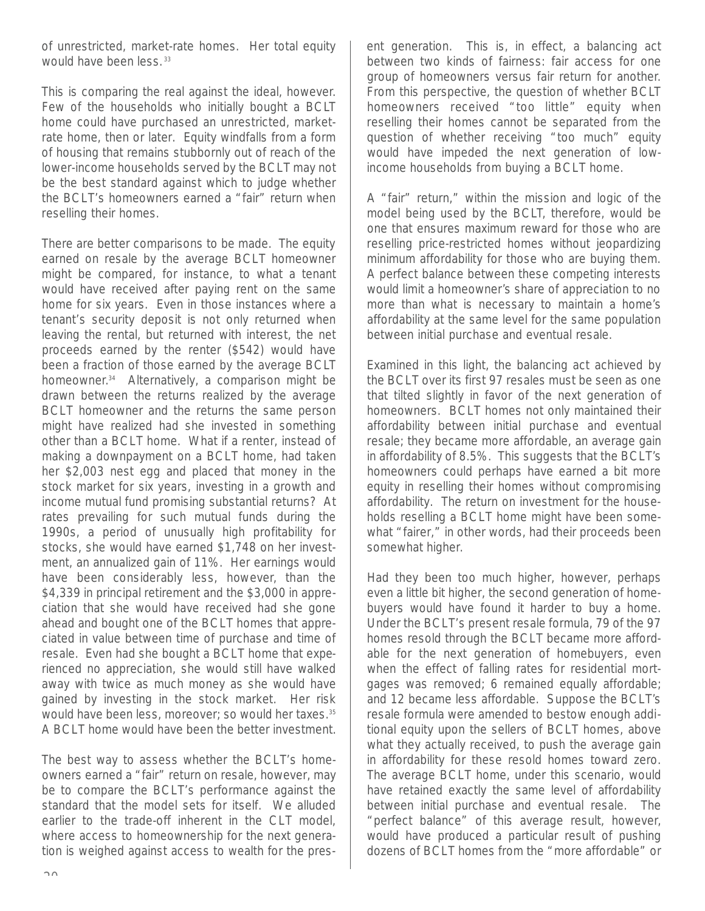of unrestricted, market-rate homes. Her total equity would have been less.<sup>33</sup>

This is comparing the real against the ideal, however. Few of the households who initially bought a BCLT home could have purchased an unrestricted, marketrate home, then or later. Equity windfalls from a form of housing that remains stubbornly out of reach of the lower-income households served by the BCLT may not be the best standard against which to judge whether the BCLT's homeowners earned a "fair" return when reselling their homes.

There are better comparisons to be made. The equity earned on resale by the average BCLT homeowner might be compared, for instance, to what a tenant would have received after paying rent on the same home for six years. Even in those instances where a tenant's security deposit is not only returned when leaving the rental, but returned with interest, the net proceeds earned by the renter (\$542) would have been a fraction of those earned by the average BCLT homeowner. <sup>34</sup> Alternatively, a comparison might be drawn between the returns realized by the average BCLT homeowner and the returns the same person might have realized had she invested in something other than a BCLT home. What if a renter, instead of making a downpayment on a BCLT home, had taken her \$2,003 nest egg and placed that money in the stock market for six years, investing in a growth and income mutual fund promising substantial returns? At rates prevailing for such mutual funds during the 1990s, a period of unusually high profitability for stocks, she would have earned \$1,748 on her investment, an annualized gain of 11%. Her earnings would have been considerably less, however, than the \$4,339 in principal retirement and the \$3,000 in appreciation that she would have received had she gone ahead and bought one of the BCLT homes that appreciated in value between time of purchase and time of resale. Even had she bought a BCLT home that experienced no appreciation, she would still have walked away with twice as much money as she would have gained by investing in the stock market. Her risk would have been less, moreover; so would her taxes.<sup>35</sup> A BCLT home would have been the better investment.

The best way to assess whether the BCLT's homeowners earned a "fair" return on resale, however, may be to compare the BCLT's performance against the standard that the model sets for itself. We alluded earlier to the trade-off inherent in the CLT model, where access to homeownership for the next generation is weighed against access to wealth for the present generation. This is, in effect, a balancing act between two kinds of fairness: fair access for one group of homeowners versus fair return for another. From this perspective, the question of whether BCLT homeowners received "too little" equity when reselling their homes cannot be separated from the question of whether receiving "too much" equity would have impeded the next generation of lowincome households from buying a BCLT home.

A "fair" return," within the mission and logic of the model being used by the BCLT, therefore, would be one that ensures maximum reward for those who are reselling price-restricted homes without jeopardizing minimum affordability for those who are buying them. A perfect balance between these competing interests would limit a homeowner's share of appreciation to no more than what is necessary to maintain a home's affordability at the same level for the same population between initial purchase and eventual resale.

Examined in this light, the balancing act achieved by the BCLT over its first 97 resales must be seen as one that tilted slightly in favor of the next generation of homeowners. BCLT homes not only maintained their affordability between initial purchase and eventual resale; they became more affordable, an average gain in affordability of 8.5%. This suggests that the BCLT's homeowners could perhaps have earned a bit more equity in reselling their homes without compromising affordability. The return on investment for the households reselling a BCLT home might have been somewhat "fairer," in other words, had their proceeds been somewhat higher.

Had they been too much higher, however, perhaps even a little bit higher, the second generation of homebuyers would have found it harder to buy a home. Under the BCLT's present resale formula, 79 of the 97 homes resold through the BCLT became more affordable for the next generation of homebuyers, even when the effect of falling rates for residential mortgages was removed; 6 remained equally affordable; and 12 became less affordable. Suppose the BCLT's resale formula were amended to bestow enough additional equity upon the sellers of BCLT homes, above what they actually received, to push the average gain in affordability for these resold homes toward zero. The average BCLT home, under this scenario, would have retained exactly the same level of affordability between initial purchase and eventual resale. The "perfect balance" of this average result, however, would have produced a particular result of pushing dozens of BCLT homes from the "more affordable" or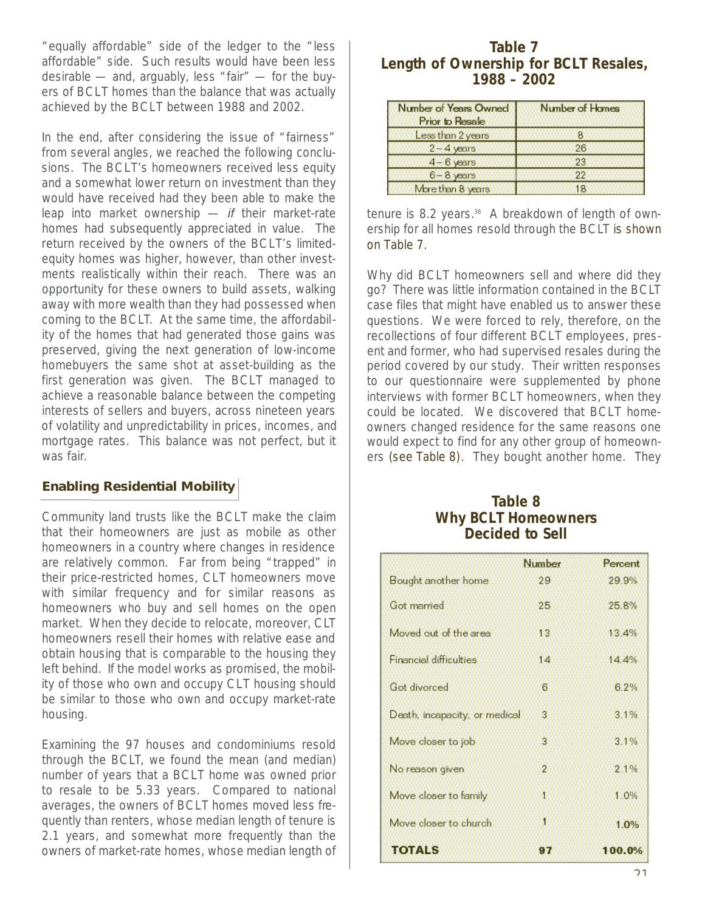"equally affordable" side of the ledger to the "less affordable" side. Such results would have been less desirable — and, arguably, less "fair" — for the buyers of BCLT homes than the balance that was actually achieved by the BCLT between 1988 and 2002.

In the end, after considering the issue of "fairness" from several angles, we reached the following conclusions. The BCLT's homeowners received less equity and a somewhat lower return on investment than they would have received had they been able to make the leap into market ownership — if their market-rate homes had subsequently appreciated in value. The return received by the owners of the BCLT's limitedequity homes was higher, however, than other investments realistically within their reach. There was an opportunity for these owners to build assets, walking away with more wealth than they had possessed when coming to the BCLT. At the same time, the affordability of the homes that had generated those gains was preserved, giving the next generation of low-income homebuyers the same shot at asset-building as the first generation was given. The BCLT managed to achieve a reasonable balance between the competing interests of sellers and buyers, across nineteen years of volatility and unpredictability in prices, incomes, and mortgage rates. This balance was not perfect, but it was fair.

#### **Enabling Residential Mobility**

Community land trusts like the BCLT make the claim that their homeowners are just as mobile as other homeowners in a country where changes in residence are relatively common. Far from being "trapped" in their price-restricted homes, CLT homeowners move with similar frequency and for similar reasons as homeowners who buy and sell homes on the open market. When they decide to relocate, moreover, CLT homeowners resell their homes with relative ease and obtain housing that is comparable to the housing they left behind. If the model works as promised, the mobility of those who own and occupy CLT housing should be similar to those who own and occupy market-rate housing.

Examining the 97 houses and condominiums resold through the BCLT, we found the mean (and median) number of years that a BCLT home was owned prior to resale to be 5.33 years. Compared to national averages, the owners of BCLT homes moved less frequently than renters, whose median length of tenure is 2.1 years, and somewhat more frequently than the owners of market-rate homes, whose median length of

#### **Table 7 Length of Ownership for BCLT Resales, 1988 – 2002**

| Number of Years Owned<br><b>Prior to Resale</b> | <b>Number of Homes</b> |
|-------------------------------------------------|------------------------|
| Less than 2 years                               | в                      |
| $2 - 4$ years                                   | 26                     |
| $4 - 6$ years                                   | 23                     |
| $6 - 8$ years                                   | 22                     |
| More than 8 years                               | 18                     |

tenure is 8.2 years.<sup>36</sup> A breakdown of length of ownership for all homes resold through the BCLT is shown on Table 7.

Why did BCLT homeowners sell and where did they go? There was little information contained in the BCLT case files that might have enabled us to answer these questions. We were forced to rely, therefore, on the recollections of four different BCLT employees, present and former, who had supervised resales during the period covered by our study. Their written responses to our questionnaire were supplemented by phone interviews with former BCLT homeowners, when they could be located. We discovered that BCLT homeowners changed residence for the same reasons one would expect to find for any other group of homeowners (see Table 8). They bought another home. They

#### **Table 8 Why BCLT Homeowners Decided to Sell**

|                               | Number         | Percent |
|-------------------------------|----------------|---------|
| Bought another home           | 29             | 29.9%   |
| Got married                   | 25             | 25.8%   |
| Moved out of the area         | 13             | 13.4%   |
| <b>Financial difficulties</b> | 14             | 14.4%   |
| Got divorced                  | 6              | 6 2%    |
| Death, incapacity, or medical | 3              | 3.1%    |
| Move closer to job            | 3              | 3.1%    |
| No reason given               | $\overline{2}$ | 21%     |
| Move closer to family         | 1              | 1.0%    |
| Move closer to church         | 1              | 1.0%    |
| <b>TOTALS</b>                 | 97             | 100.0%  |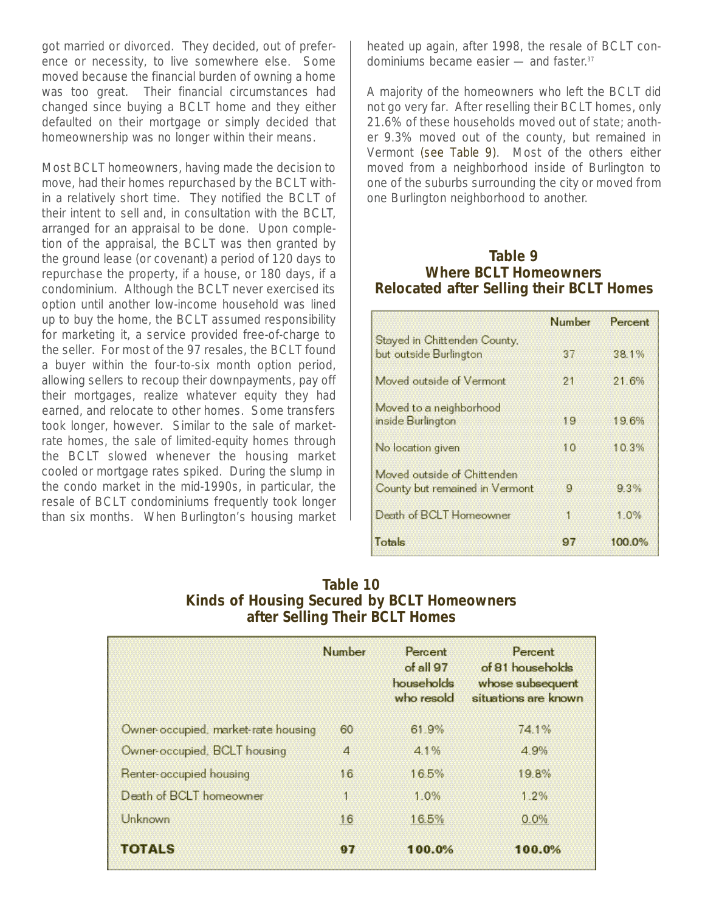got married or divorced. They decided, out of preference or necessity, to live somewhere else. Some moved because the financial burden of owning a home was too great. Their financial circumstances had changed since buying a BCLT home and they either defaulted on their mortgage or simply decided that homeownership was no longer within their means.

Most BCLT homeowners, having made the decision to move, had their homes repurchased by the BCLT within a relatively short time. They notified the BCLT of their intent to sell and, in consultation with the BCLT, arranged for an appraisal to be done. Upon completion of the appraisal, the BCLT was then granted by the ground lease (or covenant) a period of 120 days to repurchase the property, if a house, or 180 days, if a condominium. Although the BCLT never exercised its option until another low-income household was lined up to buy the home, the BCLT assumed responsibility for marketing it, a service provided free-of-charge to the seller. For most of the 97 resales, the BCLT found a buyer within the four-to-six month option period, allowing sellers to recoup their downpayments, pay off their mortgages, realize whatever equity they had earned, and relocate to other homes. Some transfers took longer, however. Similar to the sale of marketrate homes, the sale of limited-equity homes through the BCLT slowed whenever the housing market cooled or mortgage rates spiked. During the slump in the condo market in the mid-1990s, in particular, the resale of BCLT condominiums frequently took longer than six months. When Burlington's housing market heated up again, after 1998, the resale of BCLT condominiums became easier — and faster. 37

A majority of the homeowners who left the BCLT did not go very far. After reselling their BCLT homes, only 21.6% of these households moved out of state; another 9.3% moved out of the county, but remained in Vermont (see Table 9). Most of the others either moved from a neighborhood inside of Burlington to one of the suburbs surrounding the city or moved from one Burlington neighborhood to another.

#### **Table 9 Where BCLT Homeowners Relocated after Selling their BCLT Homes**

|                                                               | Number | Percent   |
|---------------------------------------------------------------|--------|-----------|
| Stayed in Chittenden County,<br>but outside Burlington        | 37     | 38.1%     |
| Moved outside of Vermont                                      | 21     | 21.6%     |
| Moved to a neighborhood<br>inside Burlington                  | 19     | 19.6%     |
| No location given                                             | 10     | 10.3%     |
| Moved outside of Chittenden<br>County but remained in Vermont | g      | 93%       |
| Death of BCLT Homeowner                                       | 1      | 10%       |
| Totals                                                        | 97     | $100.0\%$ |

| <b>Table 10</b>                                    |
|----------------------------------------------------|
| <b>Kinds of Housing Secured by BCLT Homeowners</b> |
| after Selling Their BCLT Homes                     |

|                                     | <b>Number</b> | Percent<br>of all 97<br>households<br>who resold | Percent<br>of 81 households<br>whose subsequent<br>situations are known |
|-------------------------------------|---------------|--------------------------------------------------|-------------------------------------------------------------------------|
| Owner-occupied, market-rate housing | 60            | 61 9%                                            | 74.1%                                                                   |
| Owner-occupied, BCLT housing        | 4             | $4.1\%$                                          | 4.9%                                                                    |
| Renter-occupied housing             | 16            | 16.5%                                            | 19.8%                                                                   |
| Death of BCLT homeowner             | $\mathbf{1}$  | 1.0%                                             | 1.2%                                                                    |
| Unknown                             | 16            | 16.5%                                            | 0.0%                                                                    |
| <b>TOTALS</b>                       | 97            | 100.0%                                           | 100.0%                                                                  |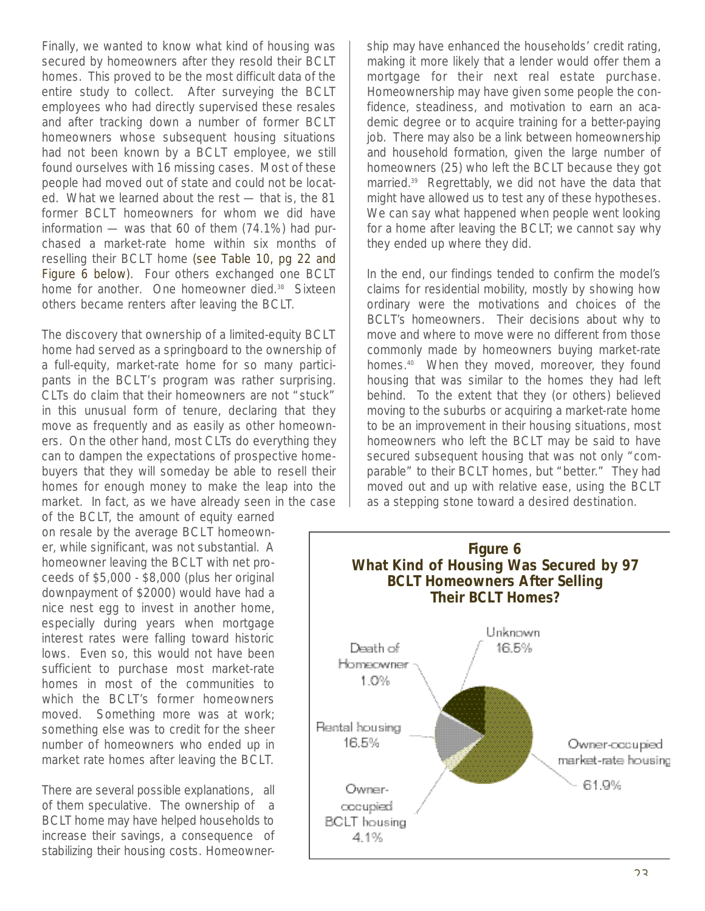Finally, we wanted to know what kind of housing was secured by homeowners after they resold their BCLT homes. This proved to be the most difficult data of the entire study to collect. After surveying the BCLT employees who had directly supervised these resales and after tracking down a number of former BCLT homeowners whose subsequent housing situations had not been known by a BCLT employee, we still found ourselves with 16 missing cases. Most of these people had moved out of state and could not be located. What we learned about the rest — that is, the 81 former BCLT homeowners for whom we did have information — was that 60 of them (74.1%) had purchased a market-rate home within six months of reselling their BCLT home (see Table 10, pg 22 and Figure 6 below). Four others exchanged one BCLT home for another. One homeowner died.<sup>38</sup> Sixteen others became renters after leaving the BCLT.

The discovery that ownership of a limited-equity BCLT home had served as a springboard to the ownership of a full-equity, market-rate home for so many participants in the BCLT's program was rather surprising. CLTs do claim that their homeowners are not "stuck" in this unusual form of tenure, declaring that they move as frequently and as easily as other homeowners. On the other hand, most CLTs do everything they can to dampen the expectations of prospective homebuyers that they will someday be able to resell their homes for enough money to make the leap into the market. In fact, as we have already seen in the case

of the BCLT, the amount of equity earned on resale by the average BCLT homeowner, while significant, was not substantial. A homeowner leaving the BCLT with net proceeds of \$5,000 - \$8,000 (plus her original downpayment of \$2000) would have had a nice nest egg to invest in another home, especially during years when mortgage interest rates were falling toward historic lows. Even so, this would not have been sufficient to purchase most market-rate homes in most of the communities to which the BCLT's former homeowners moved. Something more was at work; something else was to credit for the sheer number of homeowners who ended up in market rate homes after leaving the BCLT.

There are several possible explanations, all of them speculative. The ownership of a BCLT home may have helped households to increase their savings, a consequence of stabilizing their housing costs. Homeownership may have enhanced the households' credit rating, making it more likely that a lender would offer them a mortgage for their next real estate purchase. Homeownership may have given some people the confidence, steadiness, and motivation to earn an academic degree or to acquire training for a better-paying job. There may also be a link between homeownership and household formation, given the large number of homeowners (25) who left the BCLT because they got married.<sup>39</sup> Regrettably, we did not have the data that might have allowed us to test any of these hypotheses. We can say what happened when people went looking for a home after leaving the BCLT; we cannot say why they ended up where they did.

In the end, our findings tended to confirm the model's claims for residential mobility, mostly by showing how ordinary were the motivations and choices of the BCLT's homeowners. Their decisions about why to move and where to move were no different from those commonly made by homeowners buying market-rate homes.<sup>40</sup> When they moved, moreover, they found housing that was similar to the homes they had left behind. To the extent that they (or others) believed moving to the suburbs or acquiring a market-rate home to be an improvement in their housing situations, most homeowners who left the BCLT may be said to have secured subsequent housing that was not only "comparable" to their BCLT homes, but "better." They had moved out and up with relative ease, using the BCLT as a stepping stone toward a desired destination.

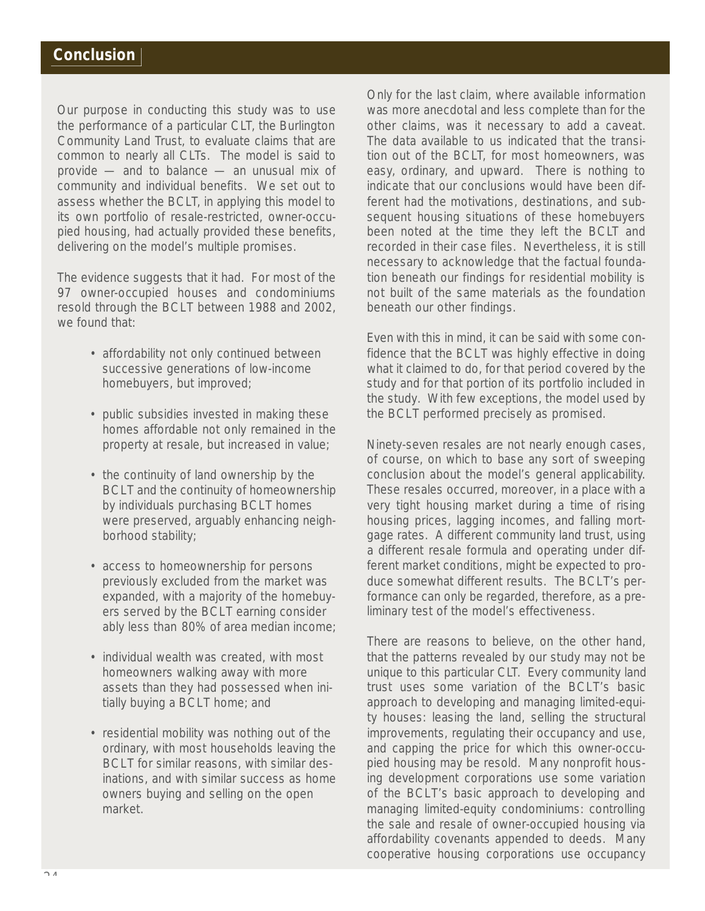Our purpose in conducting this study was to use the performance of a particular CLT, the Burlington Community Land Trust, to evaluate claims that are common to nearly all CLTs. The model is said to provide — and to balance — an unusual mix of community and individual benefits. We set out to assess whether the BCLT, in applying this model to its own portfolio of resale-restricted, owner-occupied housing, had actually provided these benefits, delivering on the model's multiple promises.

The evidence suggests that it had. For most of the 97 owner-occupied houses and condominiums resold through the BCLT between 1988 and 2002, we found that:

- affordability not only continued between successive generations of low-income homebuyers, but improved;
- public subsidies invested in making these homes affordable not only remained in the property at resale, but increased in value;
- the continuity of land ownership by the BCLT and the continuity of homeownership by individuals purchasing BCLT homes were preserved, arguably enhancing neighborhood stability;
- access to homeownership for persons previously excluded from the market was expanded, with a majority of the homebuyers served by the BCLT earning consider ably less than 80% of area median income;
- individual wealth was created, with most homeowners walking away with more assets than they had possessed when initially buying a BCLT home; and
- residential mobility was nothing out of the ordinary, with most households leaving the BCLT for similar reasons, with similar desinations, and with similar success as home owners buying and selling on the open market.

Only for the last claim, where available information was more anecdotal and less complete than for the other claims, was it necessary to add a caveat. The data available to us indicated that the transition out of the BCLT, for most homeowners, was easy, ordinary, and upward. There is nothing to indicate that our conclusions would have been different had the motivations, destinations, and subsequent housing situations of these homebuyers been noted at the time they left the BCLT and recorded in their case files. Nevertheless, it is still necessary to acknowledge that the factual foundation beneath our findings for residential mobility is not built of the same materials as the foundation beneath our other findings.

Even with this in mind, it can be said with some confidence that the BCLT was highly effective in doing what it claimed to do, for that period covered by the study and for that portion of its portfolio included in the study. With few exceptions, the model used by the BCLT performed precisely as promised.

Ninety-seven resales are not nearly enough cases, of course, on which to base any sort of sweeping conclusion about the model's general applicability. These resales occurred, moreover, in a place with a very tight housing market during a time of rising housing prices, lagging incomes, and falling mortgage rates. A different community land trust, using a different resale formula and operating under different market conditions, might be expected to produce somewhat different results. The BCLT's performance can only be regarded, therefore, as a preliminary test of the model's effectiveness.

There are reasons to believe, on the other hand, that the patterns revealed by our study may not be unique to this particular CLT. Every community land trust uses some variation of the BCLT's basic approach to developing and managing limited-equity houses: leasing the land, selling the structural improvements, regulating their occupancy and use, and capping the price for which this owner-occupied housing may be resold. Many nonprofit housing development corporations use some variation of the BCLT's basic approach to developing and managing limited-equity condominiums: controlling the sale and resale of owner-occupied housing via affordability covenants appended to deeds. Many cooperative housing corporations use occupancy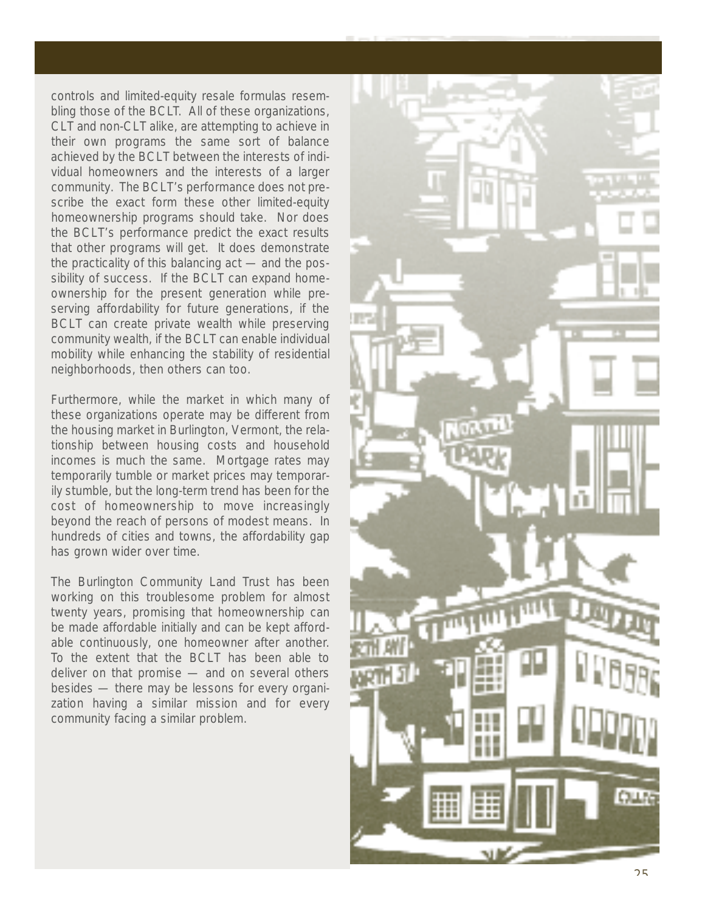controls and limited-equity resale formulas resem bling those of the BCL T. All of these organizations, CLT and non-CLT alike, are attempting to achieve in their own programs the same sort of balance achieved by the BCLT between the interests of indi vidual homeowners and the interests of a larger community. The BCLT's performance does not prescribe the exact form these other limited-equity homeownership programs should take. Nor does the BCLT's performance predict the exact results that other programs will get. It does demonstrate the practicality of this balancing act — and the pos sibility of success. If the BCLT can expand homeownership for the present generation while preserving affordability for future generations, if the BCLT can create private wealth while preserving community wealth, if the BCLT can enable individual mobility while enhancing the stability of residential neighborhoods, then others can too.

Furthermore, while the market in which many of these organizations operate may be different from the housing market in Burlington, Vermont, the rela tionship between housing costs and household incomes is much the same. Mortgage rates may temporarily tumble or market prices may temporar ily stumble, but the long-term trend has been for the cost of homeownership to move increasingly beyond the reach of persons of modest means. In hundreds of cities and towns, the affordability gap has grown wider over time.

The Burlington Community Land T rust has been working on this troublesome problem for almost twenty years, promising that homeownership can be made affordable initially and can be kept affordable continuously, one homeowner after another. To the extent that the BCLT has been able to deliver on that promise — and on several others besides — there may be lessons for every organi zation having a similar mission and for every community facing a similar problem.

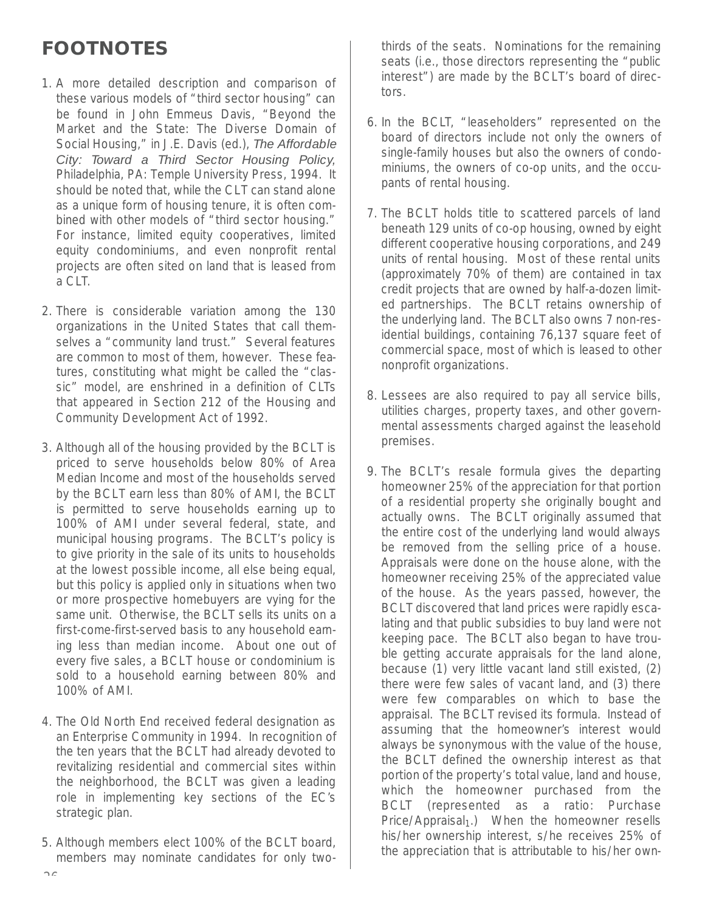# **FOOTNOTES**

- 1. A more detailed description and comparison of these various models of "third sector housing" can be found in John Emmeus Davis, "Beyond the Market and the State: The Diverse Domain of Social Housing," in J.E. Davis (ed.), The Affordable City: Toward a Third Sector Housing Policy, Philadelphia, PA: Temple University Press, 1994. It should be noted that, while the CLT can stand alone as a unique form of housing tenure, it is often combined with other models of "third sector housing." For instance, limited equity cooperatives, limited equity condominiums, and even nonprofit rental projects are often sited on land that is leased from a CLT.
- 2. There is considerable variation among the 130 organizations in the United States that call themselves a "community land trust." Several features are common to most of them, however. These features, constituting what might be called the "classic" model, are enshrined in a definition of CLTs that appeared in Section 212 of the Housing and Community Development Act of 1992.
- 3. Although all of the housing provided by the BCLT is priced to serve households below 80% of Area Median Income and most of the households served by the BCLT earn less than 80% of AMI, the BCLT is permitted to serve households earning up to 100% of AMI under several federal, state, and municipal housing programs. The BCLT's policy is to give priority in the sale of its units to households at the lowest possible income, all else being equal, but this policy is applied only in situations when two or more prospective homebuyers are vying for the same unit. Otherwise, the BCLT sells its units on a first-come-first-served basis to any household earning less than median income. About one out of every five sales, a BCLT house or condominium is sold to a household earning between 80% and 100% of AMI.
- 4. The Old North End received federal designation as an Enterprise Community in 1994. In recognition of the ten years that the BCLT had already devoted to revitalizing residential and commercial sites within the neighborhood, the BCLT was given a leading role in implementing key sections of the EC's strategic plan.
- 5. Although members elect 100% of the BCLT board, members may nominate candidates for only two-

thirds of the seats. Nominations for the remaining seats (i.e., those directors representing the "public interest") are made by the BCLT's board of directors.

- 6. In the BCLT, "leaseholders" represented on the board of directors include not only the owners of single-family houses but also the owners of condominiums, the owners of co-op units, and the occupants of rental housing.
- 7. The BCLT holds title to scattered parcels of land beneath 129 units of co-op housing, owned by eight different cooperative housing corporations, and 249 units of rental housing. Most of these rental units (approximately 70% of them) are contained in tax credit projects that are owned by half-a-dozen limited partnerships. The BCLT retains ownership of the underlying land. The BCLT also owns 7 non-residential buildings, containing 76,137 square feet of commercial space, most of which is leased to other nonprofit organizations.
- 8. Lessees are also required to pay all service bills, utilities charges, property taxes, and other governmental assessments charged against the leasehold premises.
- 9. The BCLT's resale formula gives the departing homeowner 25% of the appreciation for that portion of a residential property she originally bought and actually owns. The BCLT originally assumed that the entire cost of the underlying land would always be removed from the selling price of a house. Appraisals were done on the house alone, with the homeowner receiving 25% of the appreciated value of the house. As the years passed, however, the BCLT discovered that land prices were rapidly escalating and that public subsidies to buy land were not keeping pace. The BCLT also began to have trouble getting accurate appraisals for the land alone, because (1) very little vacant land still existed, (2) there were few sales of vacant land, and (3) there were few comparables on which to base the appraisal. The BCLT revised its formula. Instead of assuming that the homeowner's interest would always be synonymous with the value of the house, the BCLT defined the ownership interest as that portion of the property's total value, land and house, which the homeowner purchased from the BCLT (represented as a ratio: Purchase  $Price/Appraisal<sub>1</sub>$ .) When the homeowner resells his/her ownership interest, s/he receives 25% of the appreciation that is attributable to his/her own-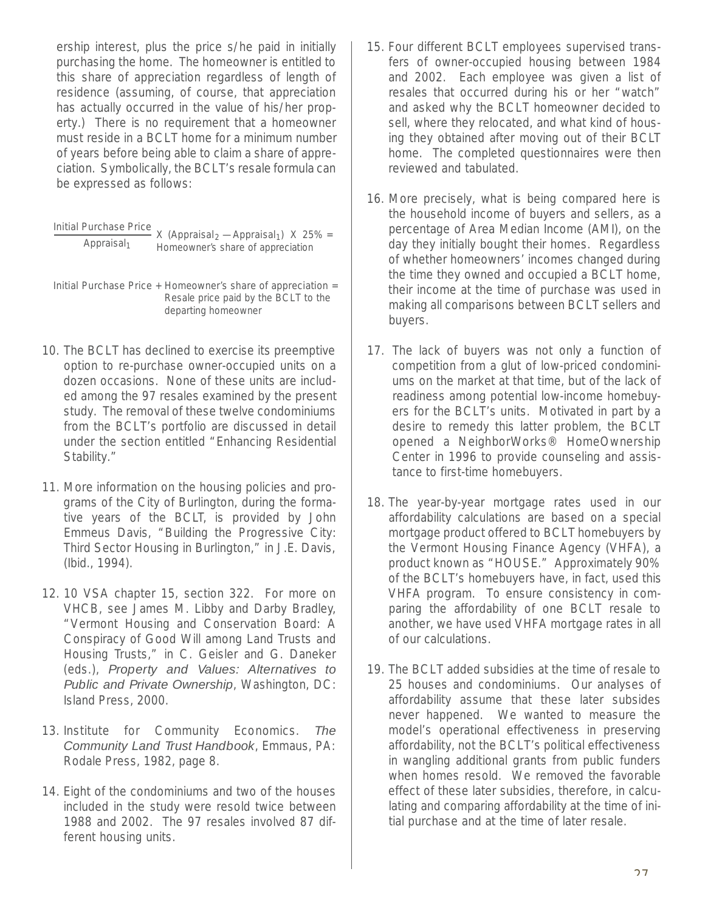ership interest, plus the price s/he paid in initially purchasing the home. The homeowner is entitled to this share of appreciation regardless of length of residence (assuming, of course, that appreciation has actually occurred in the value of his/her property.) There is no requirement that a homeowner must reside in a BCLT home for a minimum number of years before being able to claim a share of appreciation. Symbolically, the BCLT's resale formula can be expressed as follows:

| Initial Purchase Price. | X (Appraisal <sub>2</sub> - Appraisal <sub>1</sub> ) X 25% = |  |
|-------------------------|--------------------------------------------------------------|--|
| Appraisal $_1$          | Homeowner's share of appreciation                            |  |

Initial Purchase Price + Homeowner's share of appreciation = Resale price paid by the BCLT to the departing homeowner

- 10. The BCLT has declined to exercise its preemptive option to re-purchase owner-occupied units on a dozen occasions. None of these units are included among the 97 resales examined by the present study. The removal of these twelve condominiums from the BCLT's portfolio are discussed in detail under the section entitled "Enhancing Residential Stability."
- 11. More information on the housing policies and programs of the City of Burlington, during the formative years of the BCLT, is provided by John Emmeus Davis, "Building the Progressive City: Third Sector Housing in Burlington," in J.E. Davis, (Ibid., 1994).
- 12. 10 VSA chapter 15, section 322. For more on VHCB, see James M. Libby and Darby Bradley, "Vermont Housing and Conservation Board: A Conspiracy of Good Will among Land Trusts and Housing Trusts," in C. Geisler and G. Daneker (eds.), Property and Values: Alternatives to Public and Private Ownership, Washington, DC: Island Press, 2000.
- 13. Institute for Community Economics. The Community Land Trust Handbook, Emmaus, PA: Rodale Press, 1982, page 8.
- 14. Eight of the condominiums and two of the houses included in the study were resold twice between 1988 and 2002. The 97 resales involved 87 different housing units.
- 15. Four different BCLT employees supervised transfers of owner-occupied housing between 1984 and 2002. Each employee was given a list of resales that occurred during his or her "watch" and asked why the BCLT homeowner decided to sell, where they relocated, and what kind of housing they obtained after moving out of their BCLT home. The completed questionnaires were then reviewed and tabulated.
- 16. More precisely, what is being compared here is the household income of buyers and sellers, as a percentage of Area Median Income (AMI), on the day they initially bought their homes. Regardless of whether homeowners' incomes changed during the time they owned and occupied a BCLT home, their income at the time of purchase was used in making all comparisons between BCLT sellers and buyers.
- 17. The lack of buyers was not only a function of competition from a glut of low-priced condominiums on the market at that time, but of the lack of readiness among potential low-income homebuyers for the BCLT's units. Motivated in part by a desire to remedy this latter problem, the BCLT opened a NeighborWorks® HomeOwnership Center in 1996 to provide counseling and assistance to first-time homebuyers.
- 18. The year-by-year mortgage rates used in our affordability calculations are based on a special mortgage product offered to BCLT homebuyers by the Vermont Housing Finance Agency (VHFA), a product known as "HOUSE." Approximately 90% of the BCLT's homebuyers have, in fact, used this VHFA program. To ensure consistency in comparing the affordability of one BCLT resale to another, we have used VHFA mortgage rates in all of our calculations.
- 19. The BCLT added subsidies at the time of resale to 25 houses and condominiums. Our analyses of affordability assume that these later subsides never happened. We wanted to measure the model's operational effectiveness in preserving affordability, not the BCLT's political effectiveness in wangling additional grants from public funders when homes resold. We removed the favorable effect of these later subsidies, therefore, in calculating and comparing affordability at the time of initial purchase and at the time of later resale.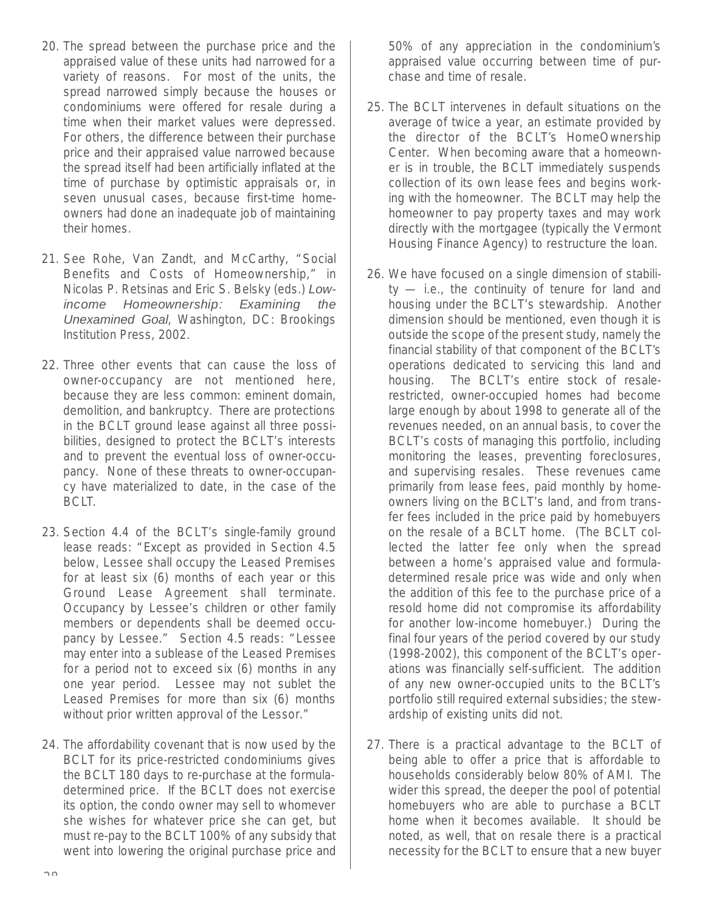- 20. The spread between the purchase price and the appraised value of these units had narrowed for a variety of reasons. For most of the units, the spread narrowed simply because the houses or condominiums were offered for resale during a time when their market values were depressed. For others, the difference between their purchase price and their appraised value narrowed because the spread itself had been artificially inflated at the time of purchase by optimistic appraisals or, in seven unusual cases, because first-time homeowners had done an inadequate job of maintaining their homes.
- 21. See Rohe, Van Zandt, and McCarthy, "Social Benefits and Costs of Homeownership," in Nicolas P. Retsinas and Eric S. Belsky (eds.) Lowincome Homeownership: Examining the Unexamined Goal, Washington, DC: Brookings Institution Press, 2002.
- 22. Three other events that can cause the loss of owner-occupancy are not mentioned here, because they are less common: eminent domain, demolition, and bankruptcy. There are protections in the BCLT ground lease against all three possibilities, designed to protect the BCLT's interests and to prevent the eventual loss of owner-occupancy. None of these threats to owner-occupancy have materialized to date, in the case of the BCLT.
- 23. Section 4.4 of the BCLT's single-family ground lease reads: "Except as provided in Section 4.5 below, Lessee shall occupy the Leased Premises for at least six (6) months of each year or this Ground Lease Agreement shall terminate. Occupancy by Lessee's children or other family members or dependents shall be deemed occupancy by Lessee." Section 4.5 reads: "Lessee may enter into a sublease of the Leased Premises for a period not to exceed six (6) months in any one year period. Lessee may not sublet the Leased Premises for more than six (6) months without prior written approval of the Lessor."
- 24. The affordability covenant that is now used by the BCLT for its price-restricted condominiums gives the BCLT 180 days to re-purchase at the formuladetermined price. If the BCLT does not exercise its option, the condo owner may sell to whomever she wishes for whatever price she can get, but must re-pay to the BCLT 100% of any subsidy that went into lowering the original purchase price and

50% of any appreciation in the condominium's appraised value occurring between time of purchase and time of resale.

- 25. The BCLT intervenes in default situations on the average of twice a year, an estimate provided by the director of the BCLT's HomeOwnership Center. When becoming aware that a homeowner is in trouble, the BCLT immediately suspends collection of its own lease fees and begins working with the homeowner. The BCLT may help the homeowner to pay property taxes and may work directly with the mortgagee (typically the Vermont Housing Finance Agency) to restructure the loan.
- 26. We have focused on a single dimension of stability — i.e., the continuity of tenure for land and housing under the BCLT's stewardship. Another dimension should be mentioned, even though it is outside the scope of the present study, namely the financial stability of that component of the BCLT's operations dedicated to servicing this land and housing. The BCLT's entire stock of resalerestricted, owner-occupied homes had become large enough by about 1998 to generate all of the revenues needed, on an annual basis, to cover the BCLT's costs of managing this portfolio, including monitoring the leases, preventing foreclosures, and supervising resales. These revenues came primarily from lease fees, paid monthly by homeowners living on the BCLT's land, and from transfer fees included in the price paid by homebuyers on the resale of a BCLT home. (The BCLT collected the latter fee only when the spread between a home's appraised value and formuladetermined resale price was wide and only when the addition of this fee to the purchase price of a resold home did not compromise its affordability for another low-income homebuyer.) During the final four years of the period covered by our study (1998-2002), this component of the BCLT's operations was financially self-sufficient. The addition of any new owner-occupied units to the BCLT's portfolio still required external subsidies; the stewardship of existing units did not.
- 27. There is a practical advantage to the BCLT of being able to offer a price that is affordable to households considerably below 80% of AMI. The wider this spread, the deeper the pool of potential homebuyers who are able to purchase a BCLT home when it becomes available. It should be noted, as well, that on resale there is a practical necessity for the BCLT to ensure that a new buyer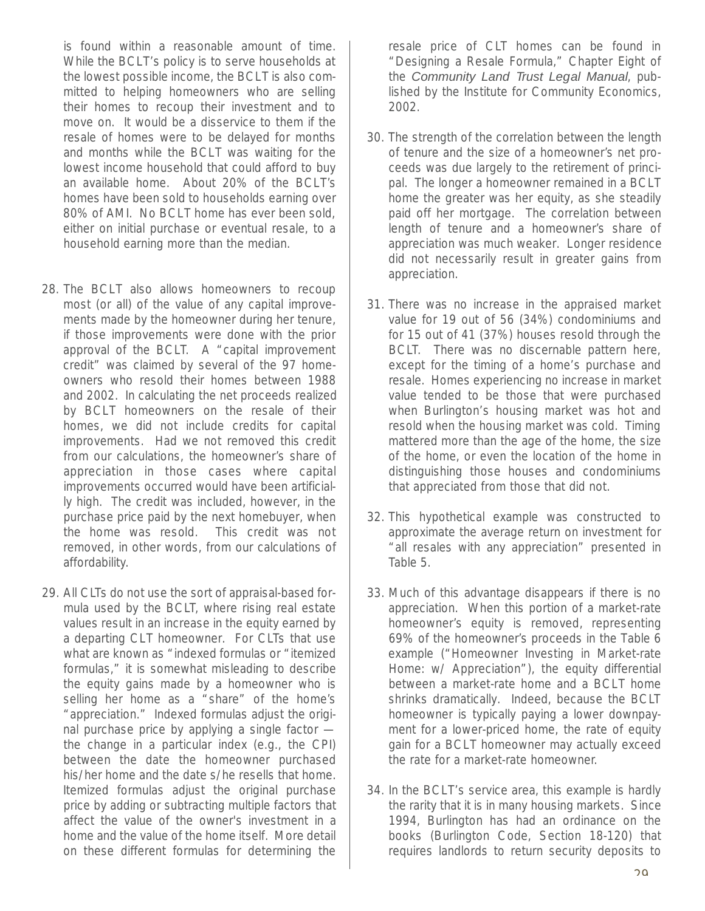is found within a reasonable amount of time. While the BCLT's policy is to serve households at the lowest possible income, the BCLT is also committed to helping homeowners who are selling their homes to recoup their investment and to move on. It would be a disservice to them if the resale of homes were to be delayed for months and months while the BCLT was waiting for the lowest income household that could afford to buy an available home. About 20% of the BCLT's homes have been sold to households earning over 80% of AMI. No BCLT home has ever been sold, either on initial purchase or eventual resale, to a household earning more than the median.

- 28. The BCLT also allows homeowners to recoup most (or all) of the value of any capital improvements made by the homeowner during her tenure, if those improvements were done with the prior approval of the BCLT. A "capital improvement credit" was claimed by several of the 97 homeowners who resold their homes between 1988 and 2002. In calculating the net proceeds realized by BCLT homeowners on the resale of their homes, we did not include credits for capital improvements. Had we not removed this credit from our calculations, the homeowner's share of appreciation in those cases where capital improvements occurred would have been artificially high. The credit was included, however, in the purchase price paid by the next homebuyer, when the home was resold. This credit was not removed, in other words, from our calculations of affordability.
- 29. All CLTs do not use the sort of appraisal-based formula used by the BCLT, where rising real estate values result in an increase in the equity earned by a departing CLT homeowner. For CLTs that use what are known as "indexed formulas or "itemized formulas," it is somewhat misleading to describe the equity gains made by a homeowner who is selling her home as a "share" of the home's "appreciation." Indexed formulas adjust the original purchase price by applying a single factor the change in a particular index (e.g., the CPI) between the date the homeowner purchased his/her home and the date s/he resells that home. Itemized formulas adjust the original purchase price by adding or subtracting multiple factors that affect the value of the owner's investment in a home and the value of the home itself. More detail on these different formulas for determining the

resale price of CLT homes can be found in "Designing a Resale Formula," Chapter Eight of the Community Land Trust Legal Manual, published by the Institute for Community Economics, 2002.

- 30. The strength of the correlation between the length of tenure and the size of a homeowner's net proceeds was due largely to the retirement of principal. The longer a homeowner remained in a BCLT home the greater was her equity, as she steadily paid off her mortgage. The correlation between length of tenure and a homeowner's share of appreciation was much weaker. Longer residence did not necessarily result in greater gains from appreciation.
- 31. There was no increase in the appraised market value for 19 out of 56 (34%) condominiums and for 15 out of 41 (37%) houses resold through the BCLT. There was no discernable pattern here, except for the timing of a home's purchase and resale. Homes experiencing no increase in market value tended to be those that were purchased when Burlington's housing market was hot and resold when the housing market was cold. Timing mattered more than the age of the home, the size of the home, or even the location of the home in distinguishing those houses and condominiums that appreciated from those that did not.
- 32. This hypothetical example was constructed to approximate the average return on investment for "all resales with any appreciation" presented in Table 5.
- 33. Much of this advantage disappears if there is no appreciation. When this portion of a market-rate homeowner's equity is removed, representing 69% of the homeowner's proceeds in the Table 6 example ("Homeowner Investing in Market-rate Home: w/ Appreciation"), the equity differential between a market-rate home and a BCLT home shrinks dramatically. Indeed, because the BCLT homeowner is typically paying a lower downpayment for a lower-priced home, the rate of equity gain for a BCLT homeowner may actually exceed the rate for a market-rate homeowner.
- 34. In the BCLT's service area, this example is hardly the rarity that it is in many housing markets. Since 1994, Burlington has had an ordinance on the books (Burlington Code, Section 18-120) that requires landlords to return security deposits to